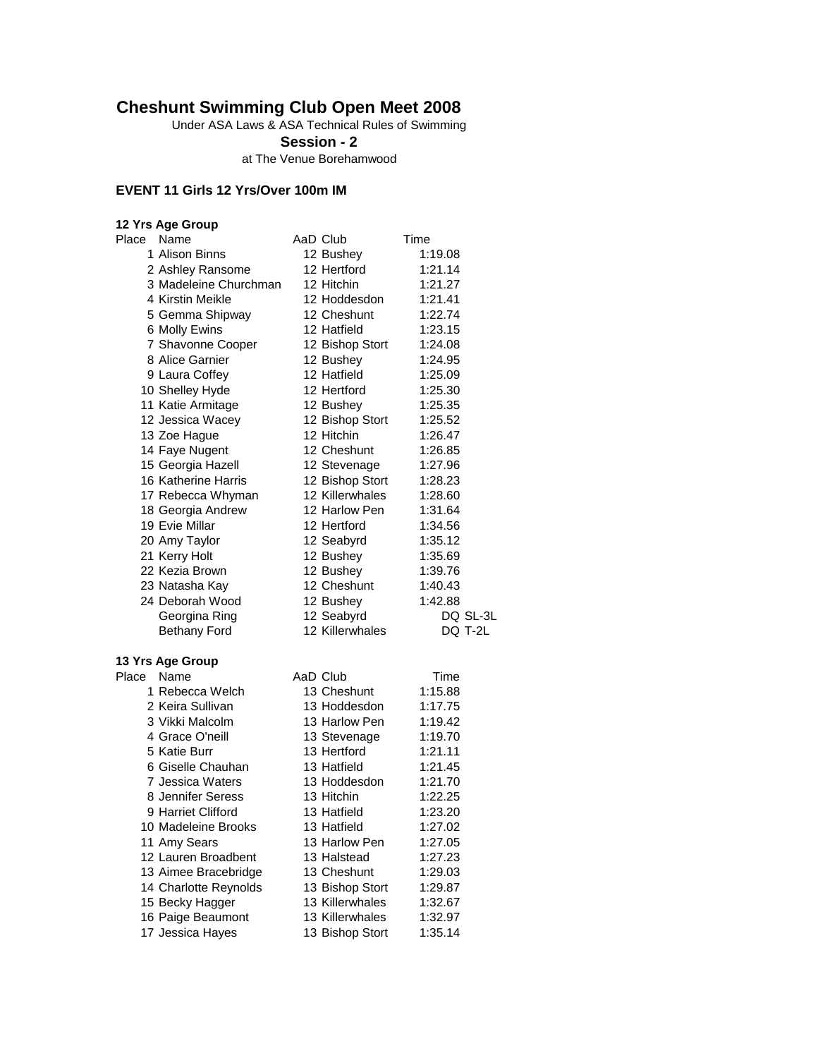## **Cheshunt Swimming Club Open Meet 2008**

Under ASA Laws & ASA Technical Rules of Swimming

**Session - 2**

at The Venue Borehamwood

#### **EVENT 11 Girls 12 Yrs/Over 100m IM**

#### **12 Yrs Age Group** Place Name **AaD** Club Time 1 Alison Binns 12 Bushey 1:19.08 2 Ashley Ransome 12 Hertford 1:21.14 3 Madeleine Churchman 12 Hitchin 1:21.27 4 Kirstin Meikle 12 Hoddesdon 1:21.41 5 Gemma Shipway 12 Cheshunt 1:22.74 6 Molly Ewins 12 Hatfield 1:23.15 7 Shavonne Cooper 12 Bishop Stort 1:24.08 8 Alice Garnier 12 Bushey 1:24.95 9 Laura Coffey 12 Hatfield 1:25.09 10 Shelley Hyde 12 Hertford 1:25.30 11 Katie Armitage **12 Bushey** 1:25.35 12 Jessica Wacey 12 Bishop Stort 1:25.52 13 Zoe Hague 12 Hitchin 1:26.47 14 Faye Nugent 12 Cheshunt 1:26.85 15 Georgia Hazell 12 Stevenage 1:27.96 16 Katherine Harris 12 Bishop Stort 1:28.23 17 Rebecca Whyman 12 Killerwhales 1:28.60 18 Georgia Andrew 12 Harlow Pen 1:31.64 19 Evie Millar 12 Hertford 1:34.56 20 Amy Taylor 12 Seabyrd 1:35.12 21 Kerry Holt 12 Bushey 1:35.69 22 Kezia Brown 12 Bushey 1:39.76 23 Natasha Kay 12 Cheshunt 1:40.43 24 Deborah Wood 12 Bushey 1:42.88 Georgina Ring 12 Seabyrd DQ SL-3L Bethany Ford 12 Killerwhales DQ T-2L **13 Yrs Age Group** Place Name AaD Club Time 1 Rebecca Welch 13 Cheshunt 1:15.88 2 Keira Sullivan 13 Hoddesdon 1:17.75 3 Vikki Malcolm 13 Harlow Pen 1:19.42 4 Grace O'neill **13 Stevenage** 1:19.70 5 Katie Burr 13 Hertford 1:21.11

| 4 Grace O'neill       | 13 Stevenage    | 1:19.70 |
|-----------------------|-----------------|---------|
| 5 Katie Burr          | 13 Hertford     | 1:21.11 |
| 6 Giselle Chauhan     | 13 Hatfield     | 1:21.45 |
| 7 Jessica Waters      | 13 Hoddesdon    | 1:21.70 |
| 8 Jennifer Seress     | 13 Hitchin      | 1:22.25 |
| 9 Harriet Clifford    | 13 Hatfield     | 1:23.20 |
| 10 Madeleine Brooks   | 13 Hatfield     | 1:27.02 |
| 11 Amy Sears          | 13 Harlow Pen   | 1:27.05 |
| 12 Lauren Broadbent   | 13 Halstead     | 1:27.23 |
| 13 Aimee Bracebridge  | 13 Cheshunt     | 1:29.03 |
| 14 Charlotte Reynolds | 13 Bishop Stort | 1:29.87 |
| 15 Becky Hagger       | 13 Killerwhales | 1:32.67 |
| 16 Paige Beaumont     | 13 Killerwhales | 1:32.97 |
| 17 Jessica Hayes      | 13 Bishop Stort | 1:35.14 |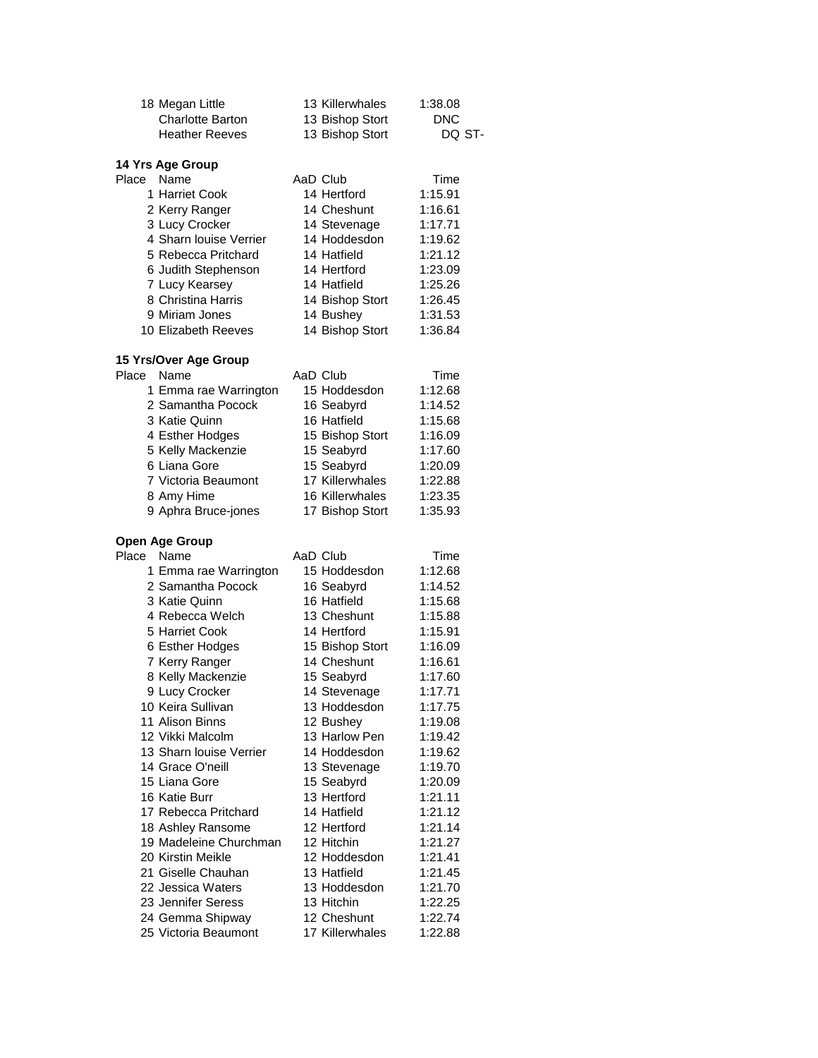| 18 Megan Little         | 13 Killerwhales | 1:38.08    |
|-------------------------|-----------------|------------|
| <b>Charlotte Barton</b> | 13 Bishop Stort | <b>DNC</b> |
| <b>Heather Reeves</b>   | 13 Bishop Stort | DQ ST-     |
| 14 Yrs Age Group        |                 |            |
| Place<br>Name           | AaD Club        | Time       |
| 1 Harriet Cook          | 14 Hertford     | 1:15.91    |
| 2 Kerry Ranger          | 14 Cheshunt     | 1:16.61    |
| 3 Lucy Crocker          | 14 Stevenage    | 1:17.71    |
| 4 Sharn louise Verrier  | 14 Hoddesdon    | 1:19.62    |
| 5 Rebecca Pritchard     | 14 Hatfield     | 1:21.12    |
| 6 Judith Stephenson     | 14 Hertford     | 1:23.09    |
| 7 Lucy Kearsey          | 14 Hatfield     | 1:25.26    |
| 8 Christina Harris      | 14 Bishop Stort | 1:26.45    |
| 9 Miriam Jones          | 14 Bushey       | 1:31.53    |
| 10 Elizabeth Reeves     | 14 Bishop Stort | 1:36.84    |
| 15 Yrs/Over Age Group   |                 |            |
| Place<br>Name           | AaD Club        | Time       |
| 1 Emma rae Warrington   | 15 Hoddesdon    | 1:12.68    |
| 2 Samantha Pocock       | 16 Seabyrd      | 1:14.52    |
| 3 Katie Quinn           | 16 Hatfield     | 1:15.68    |
| 4 Esther Hodges         | 15 Bishop Stort | 1:16.09    |
| 5 Kelly Mackenzie       | 15 Seabyrd      | 1:17.60    |
| 6 Liana Gore            | 15 Seabyrd      | 1:20.09    |
| 7 Victoria Beaumont     | 17 Killerwhales | 1:22.88    |
| 8 Amy Hime              | 16 Killerwhales | 1:23.35    |
| 9 Aphra Bruce-jones     | 17 Bishop Stort | 1:35.93    |
| <b>Open Age Group</b>   |                 |            |
| Place<br>Name           | AaD Club        | Time       |
| 1 Emma rae Warrington   | 15 Hoddesdon    | 1:12.68    |
| 2 Samantha Pocock       | 16 Seabyrd      | 1:14.52    |
| 3 Katie Quinn           | 16 Hatfield     | 1:15.68    |
| 4 Rebecca Welch         | 13 Cheshunt     | 1:15.88    |
| 5 Harriet Cook          | 14 Hertford     | 1:15.91    |
| 6 Esther Hodges         | 15 Bishop Stort | 1:16.09    |
| 7 Kerry Ranger          | 14 Cheshunt     | 1:16.61    |
| 8 Kelly Mackenzie       | 15 Seabyrd      | 1:17.60    |
| 9 Lucy Crocker          | 14 Stevenage    | 1:17.71    |
| 10 Keira Sullivan       | 13 Hoddesdon    | 1:17.75    |
| 11 Alison Binns         | 12 Bushey       | 1:19.08    |
| 12 Vikki Malcolm        | 13 Harlow Pen   | 1:19.42    |
| 13 Sharn louise Verrier | 14 Hoddesdon    | 1:19.62    |
| 14 Grace O'neill        | 13 Stevenage    | 1:19.70    |
| 15 Liana Gore           | 15 Seabyrd      | 1:20.09    |
| 16 Katie Burr           | 13 Hertford     | 1:21.11    |
| 17 Rebecca Pritchard    | 14 Hatfield     | 1:21.12    |
| 18 Ashley Ransome       | 12 Hertford     | 1:21.14    |

19 Madeleine Churchman 12 Hitchin 1:21.27 Kirstin Meikle 12 Hoddesdon 1:21.41 21 Giselle Chauhan 13 Hatfield 1:21.45 22 Jessica Waters 13 Hoddesdon 1:21.70 23 Jennifer Seress 13 Hitchin 1:22.25 24 Gemma Shipway 12 Cheshunt 1:22.74 Victoria Beaumont 17 Killerwhales 1:22.88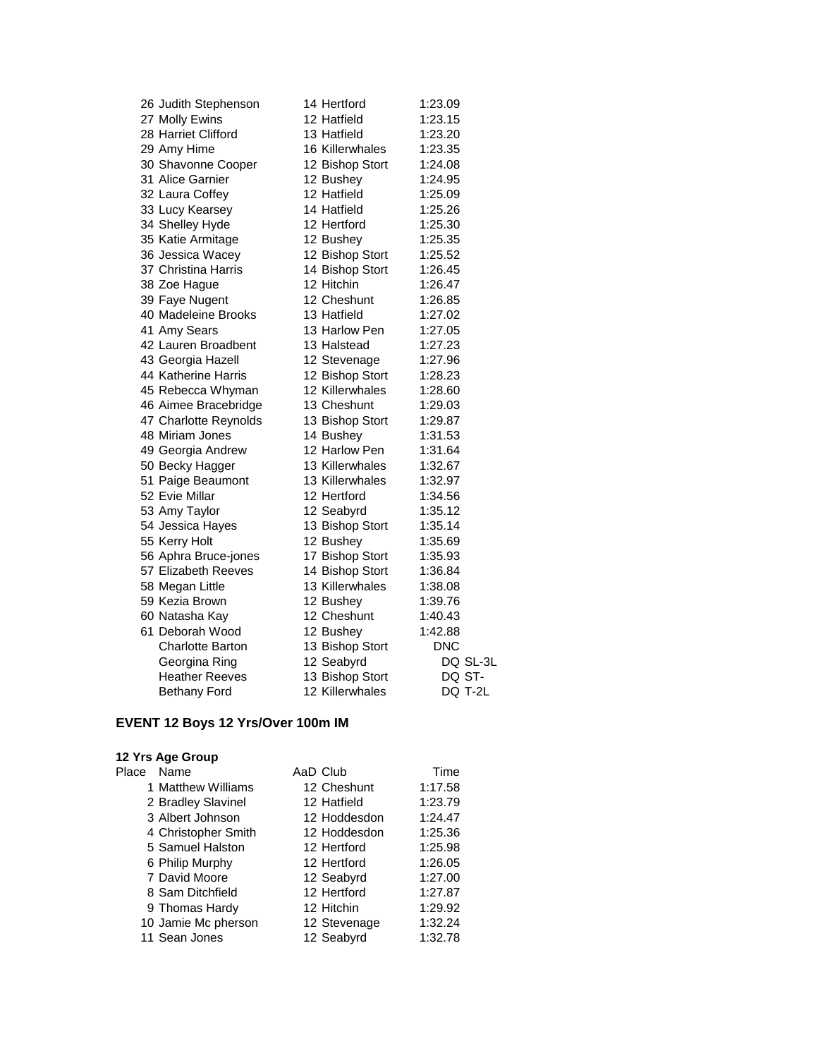| 26 Judith Stephenson    | 14 Hertford     | 1:23.09    |          |
|-------------------------|-----------------|------------|----------|
| 27 Molly Ewins          | 12 Hatfield     | 1:23.15    |          |
| 28 Harriet Clifford     | 13 Hatfield     | 1:23.20    |          |
| 29 Amy Hime             | 16 Killerwhales | 1:23.35    |          |
| 30 Shavonne Cooper      | 12 Bishop Stort | 1:24.08    |          |
| 31 Alice Garnier        | 12 Bushey       | 1:24.95    |          |
| 32 Laura Coffey         | 12 Hatfield     | 1:25.09    |          |
| 33 Lucy Kearsey         | 14 Hatfield     | 1:25.26    |          |
| 34 Shelley Hyde         | 12 Hertford     | 1:25.30    |          |
| 35 Katie Armitage       | 12 Bushey       | 1:25.35    |          |
| 36 Jessica Wacey        | 12 Bishop Stort | 1:25.52    |          |
| 37 Christina Harris     | 14 Bishop Stort | 1:26.45    |          |
| 38 Zoe Hague            | 12 Hitchin      | 1:26.47    |          |
| 39 Faye Nugent          | 12 Cheshunt     | 1:26.85    |          |
| 40 Madeleine Brooks     | 13 Hatfield     | 1:27.02    |          |
| 41 Amy Sears            | 13 Harlow Pen   | 1:27.05    |          |
| 42 Lauren Broadbent     | 13 Halstead     | 1:27.23    |          |
| 43 Georgia Hazell       | 12 Stevenage    | 1:27.96    |          |
| 44 Katherine Harris     | 12 Bishop Stort | 1:28.23    |          |
| 45 Rebecca Whyman       | 12 Killerwhales | 1:28.60    |          |
| 46 Aimee Bracebridge    | 13 Cheshunt     | 1:29.03    |          |
| 47 Charlotte Reynolds   | 13 Bishop Stort | 1:29.87    |          |
| 48 Miriam Jones         | 14 Bushey       | 1:31.53    |          |
| 49 Georgia Andrew       | 12 Harlow Pen   | 1:31.64    |          |
| 50 Becky Hagger         | 13 Killerwhales | 1:32.67    |          |
| 51 Paige Beaumont       | 13 Killerwhales | 1:32.97    |          |
| 52 Evie Millar          | 12 Hertford     | 1:34.56    |          |
| 53 Amy Taylor           | 12 Seabyrd      | 1:35.12    |          |
| 54 Jessica Hayes        | 13 Bishop Stort | 1:35.14    |          |
| 55 Kerry Holt           | 12 Bushey       | 1:35.69    |          |
| 56 Aphra Bruce-jones    | 17 Bishop Stort | 1:35.93    |          |
| 57 Elizabeth Reeves     | 14 Bishop Stort | 1:36.84    |          |
| 58 Megan Little         | 13 Killerwhales | 1:38.08    |          |
| 59 Kezia Brown          | 12 Bushey       | 1:39.76    |          |
| 60 Natasha Kay          | 12 Cheshunt     | 1:40.43    |          |
| 61 Deborah Wood         | 12 Bushey       | 1:42.88    |          |
| <b>Charlotte Barton</b> | 13 Bishop Stort | <b>DNC</b> |          |
| Georgina Ring           | 12 Seabyrd      |            | DQ SL-3L |
| <b>Heather Reeves</b>   | 13 Bishop Stort |            | DQ ST-   |
| <b>Bethany Ford</b>     | 12 Killerwhales |            | DQ T-2L  |

# **EVENT 12 Boys 12 Yrs/Over 100m IM**

| Place | Name                | AaD Club     | Time    |
|-------|---------------------|--------------|---------|
|       | 1 Matthew Williams  | 12 Cheshunt  | 1:17.58 |
|       | 2 Bradley Slavinel  | 12 Hatfield  | 1:23.79 |
|       | 3 Albert Johnson    | 12 Hoddesdon | 1:24.47 |
|       | 4 Christopher Smith | 12 Hoddesdon | 1:25.36 |
|       | 5 Samuel Halston    | 12 Hertford  | 1:25.98 |
|       | 6 Philip Murphy     | 12 Hertford  | 1:26.05 |
|       | 7 David Moore       | 12 Seabyrd   | 1:27.00 |
|       | 8 Sam Ditchfield    | 12 Hertford  | 1:27.87 |
|       | 9 Thomas Hardy      | 12 Hitchin   | 1:29.92 |
|       | 10 Jamie Mc pherson | 12 Stevenage | 1:32.24 |
|       | 11 Sean Jones       | 12 Seabyrd   | 1:32.78 |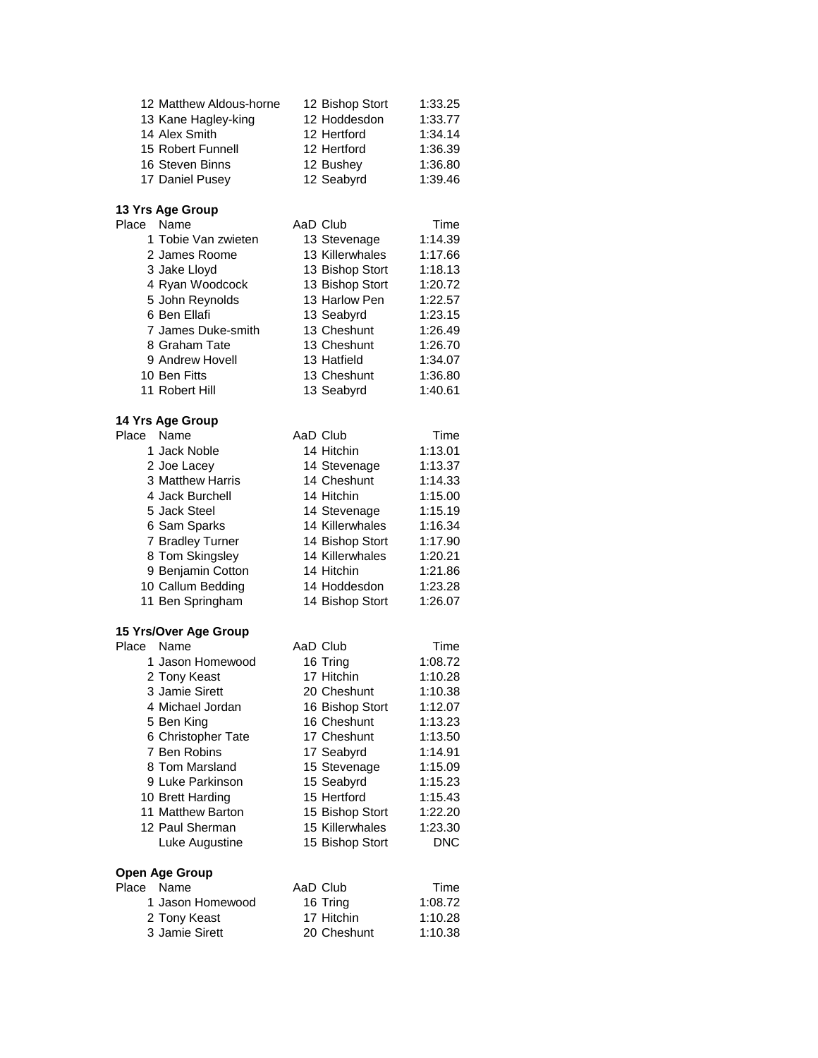| 12 Matthew Aldous-horne | 12 Bishop Stort | 1:33.25 |
|-------------------------|-----------------|---------|
| 13 Kane Hagley-king     | 12 Hoddesdon    | 1:33.77 |
| 14 Alex Smith           | 12 Hertford     | 1:34.14 |
| 15 Robert Funnell       | 12 Hertford     | 1:36.39 |
| 16 Steven Binns         | 12 Bushey       | 1:36.80 |
| 17 Daniel Pusey         | 12 Seabyrd      | 1:39.46 |

#### **13 Yrs Age Group**

| Place | Name                | AaD Club        | Time    |
|-------|---------------------|-----------------|---------|
|       | 1 Tobie Van zwieten | 13 Stevenage    | 1:14.39 |
|       | 2 James Roome       | 13 Killerwhales | 1:17.66 |
|       | 3 Jake Lloyd        | 13 Bishop Stort | 1:18.13 |
|       | 4 Ryan Woodcock     | 13 Bishop Stort | 1:20.72 |
|       | 5 John Reynolds     | 13 Harlow Pen   | 1:22.57 |
|       | 6 Ben Ellafi        | 13 Seabyrd      | 1:23.15 |
|       | 7 James Duke-smith  | 13 Cheshunt     | 1:26.49 |
|       | 8 Graham Tate       | 13 Cheshunt     | 1:26.70 |
|       | 9 Andrew Hovell     | 13 Hatfield     | 1:34.07 |
|       | 10 Ben Fitts        | 13 Cheshunt     | 1:36.80 |
|       | 11 Robert Hill      | 13 Seabyrd      | 1:40.61 |

#### **14 Yrs Age Group**

| Place | Name              | AaD Club        | Time    |
|-------|-------------------|-----------------|---------|
|       | 1 Jack Noble      | 14 Hitchin      | 1:13.01 |
|       | 2 Joe Lacey       | 14 Stevenage    | 1:13.37 |
|       | 3 Matthew Harris  | 14 Cheshunt     | 1:14.33 |
|       | 4 Jack Burchell   | 14 Hitchin      | 1:15.00 |
|       | 5 Jack Steel      | 14 Stevenage    | 1:15.19 |
|       | 6 Sam Sparks      | 14 Killerwhales | 1:16.34 |
|       | 7 Bradley Turner  | 14 Bishop Stort | 1:17.90 |
|       | 8 Tom Skingsley   | 14 Killerwhales | 1:20.21 |
|       | 9 Benjamin Cotton | 14 Hitchin      | 1:21.86 |
|       | 10 Callum Bedding | 14 Hoddesdon    | 1:23.28 |
|       | 11 Ben Springham  | 14 Bishop Stort | 1:26.07 |
|       |                   |                 |         |

#### **15 Yrs/Over Age Group**

| Place | Name                  | AaD Club        | Time       |
|-------|-----------------------|-----------------|------------|
|       | 1 Jason Homewood      | 16 Tring        | 1:08.72    |
|       | 2 Tony Keast          | 17 Hitchin      | 1:10.28    |
|       | 3 Jamie Sirett        | 20 Cheshunt     | 1:10.38    |
|       | 4 Michael Jordan      | 16 Bishop Stort | 1:12.07    |
|       | 5 Ben King            | 16 Cheshunt     | 1:13.23    |
|       | 6 Christopher Tate    | 17 Cheshunt     | 1:13.50    |
|       | 7 Ben Robins          | 17 Seabyrd      | 1:14.91    |
|       | 8 Tom Marsland        | 15 Stevenage    | 1:15.09    |
|       | 9 Luke Parkinson      | 15 Seabyrd      | 1:15.23    |
|       | 10 Brett Harding      | 15 Hertford     | 1:15.43    |
|       | 11 Matthew Barton     | 15 Bishop Stort | 1:22.20    |
|       | 12 Paul Sherman       | 15 Killerwhales | 1:23.30    |
|       | Luke Augustine        | 15 Bishop Stort | <b>DNC</b> |
|       | <b>Open Age Group</b> |                 |            |
|       | Place Name            | AaD Club        | Time       |
|       |                       |                 |            |

| יש               | AU VIUD     | ,,,,,   |
|------------------|-------------|---------|
| 1 Jason Homewood | 16 Tring    | 1:08.72 |
| 2 Tony Keast     | 17 Hitchin  | 1:10.28 |
| 3 Jamie Sirett   | 20 Cheshunt | 1:10.38 |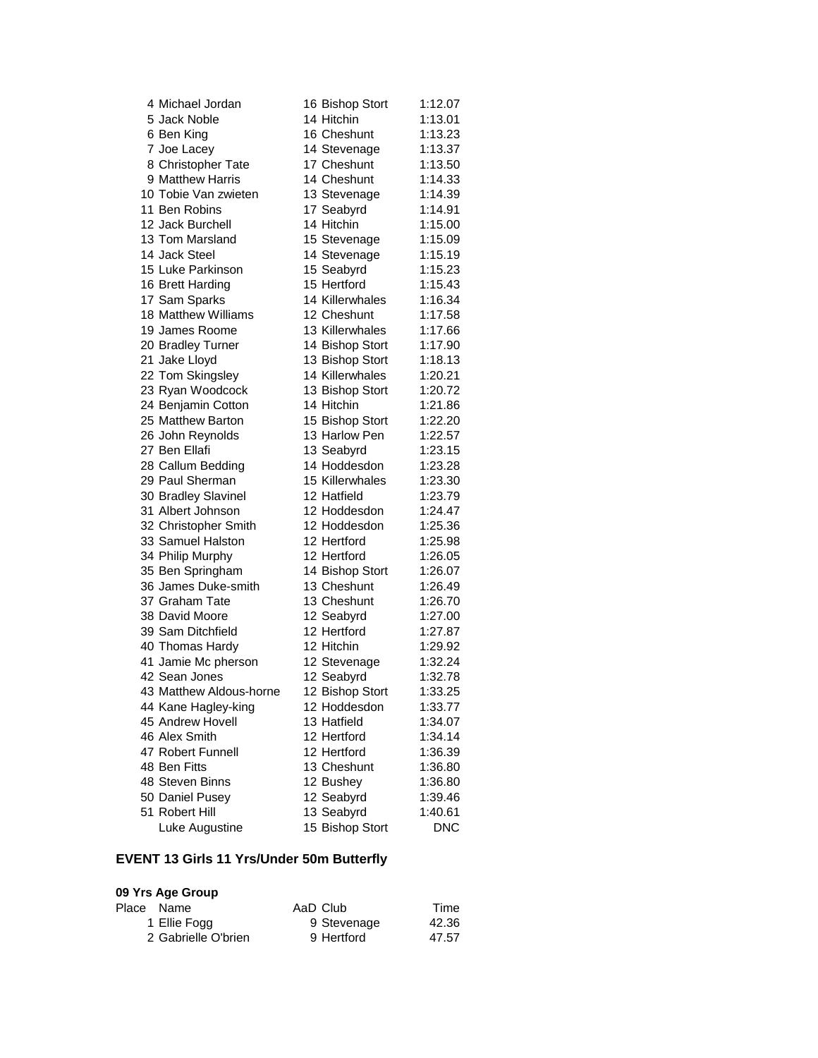| 4 Michael Jordan        | 16 Bishop Stort | 1:12.07    |
|-------------------------|-----------------|------------|
| 5 Jack Noble            | 14 Hitchin      | 1:13.01    |
| 6 Ben King              | 16 Cheshunt     | 1:13.23    |
| 7 Joe Lacey             | 14 Stevenage    | 1:13.37    |
| 8 Christopher Tate      | 17 Cheshunt     | 1:13.50    |
| 9 Matthew Harris        | 14 Cheshunt     | 1:14.33    |
| 10 Tobie Van zwieten    | 13 Stevenage    | 1:14.39    |
| 11 Ben Robins           | 17 Seabyrd      | 1:14.91    |
| 12 Jack Burchell        | 14 Hitchin      | 1:15.00    |
| 13 Tom Marsland         | 15 Stevenage    | 1:15.09    |
| 14 Jack Steel           | 14 Stevenage    | 1:15.19    |
| 15 Luke Parkinson       | 15 Seabyrd      | 1:15.23    |
| 16 Brett Harding        | 15 Hertford     | 1:15.43    |
| 17 Sam Sparks           | 14 Killerwhales | 1:16.34    |
| 18 Matthew Williams     | 12 Cheshunt     | 1:17.58    |
| 19 James Roome          | 13 Killerwhales | 1:17.66    |
| 20 Bradley Turner       | 14 Bishop Stort | 1:17.90    |
| 21 Jake Lloyd           | 13 Bishop Stort | 1:18.13    |
| 22 Tom Skingsley        | 14 Killerwhales | 1:20.21    |
| 23 Ryan Woodcock        | 13 Bishop Stort | 1:20.72    |
| 24 Benjamin Cotton      | 14 Hitchin      | 1:21.86    |
| 25 Matthew Barton       | 15 Bishop Stort | 1:22.20    |
| 26 John Reynolds        | 13 Harlow Pen   | 1:22.57    |
| 27 Ben Ellafi           | 13 Seabyrd      | 1:23.15    |
| 28 Callum Bedding       | 14 Hoddesdon    | 1:23.28    |
| 29 Paul Sherman         | 15 Killerwhales | 1:23.30    |
| 30 Bradley Slavinel     | 12 Hatfield     | 1:23.79    |
| 31 Albert Johnson       | 12 Hoddesdon    | 1:24.47    |
| 32 Christopher Smith    | 12 Hoddesdon    | 1:25.36    |
| 33 Samuel Halston       | 12 Hertford     | 1:25.98    |
| 34 Philip Murphy        | 12 Hertford     | 1:26.05    |
| 35 Ben Springham        | 14 Bishop Stort | 1:26.07    |
| 36 James Duke-smith     | 13 Cheshunt     | 1:26.49    |
| 37 Graham Tate          | 13 Cheshunt     | 1:26.70    |
| 38 David Moore          | 12 Seabyrd      | 1:27.00    |
| 39 Sam Ditchfield       | 12 Hertford     | 1:27.87    |
| 40 Thomas Hardy         | 12 Hitchin      | 1:29.92    |
| 41 Jamie Mc pherson     | 12 Stevenage    | 1:32.24    |
| 42 Sean Jones           | 12 Seabyrd      | 1:32.78    |
| 43 Matthew Aldous-horne | 12 Bishop Stort | 1:33.25    |
| 44 Kane Hagley-king     | 12 Hoddesdon    | 1:33.77    |
| 45 Andrew Hovell        | 13 Hatfield     | 1:34.07    |
| 46 Alex Smith           | 12 Hertford     | 1:34.14    |
| 47 Robert Funnell       | 12 Hertford     | 1:36.39    |
| 48 Ben Fitts            | 13 Cheshunt     | 1:36.80    |
| 48 Steven Binns         | 12 Bushey       | 1:36.80    |
| 50 Daniel Pusey         | 12 Seabyrd      | 1:39.46    |
| 51 Robert Hill          | 13 Seabyrd      | 1:40.61    |
| Luke Augustine          | 15 Bishop Stort | <b>DNC</b> |

# **EVENT 13 Girls 11 Yrs/Under 50m Butterfly**

| Place Name          | AaD Club    | Time  |
|---------------------|-------------|-------|
| 1 Ellie Fogg        | 9 Stevenage | 42.36 |
| 2 Gabrielle O'brien | 9 Hertford  | 47.57 |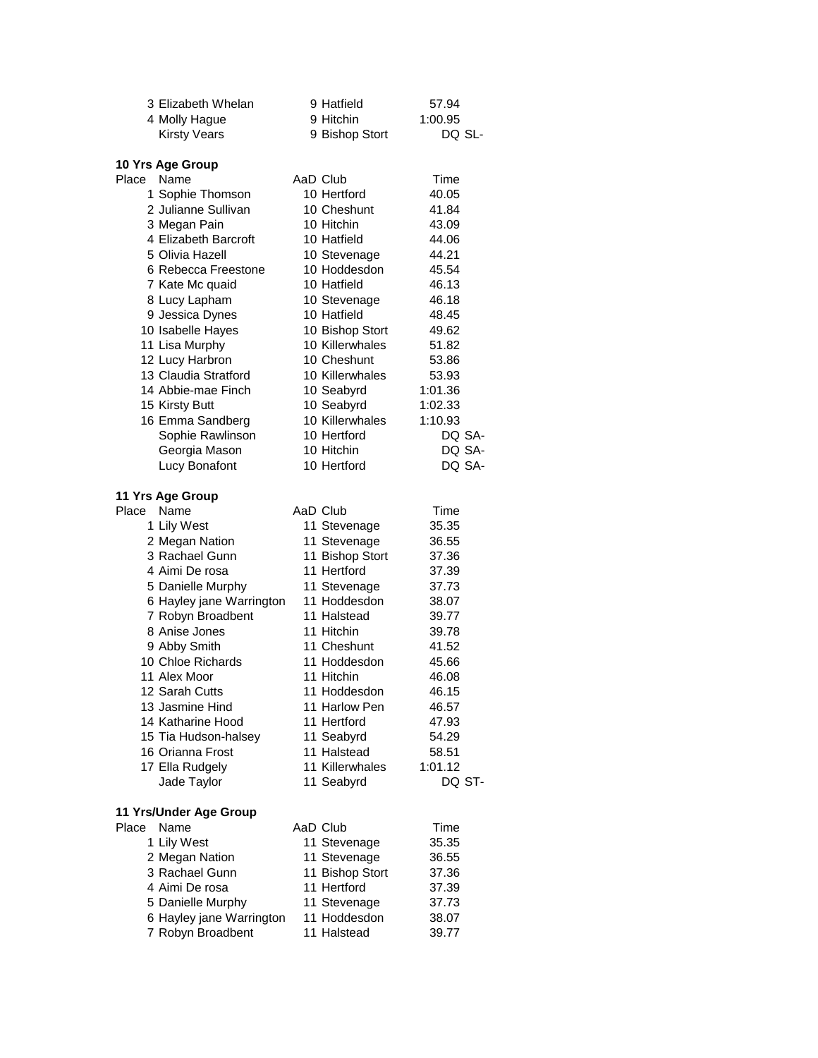| 3 Elizabeth Whelan       | 9 Hatfield                    | 57.94   |
|--------------------------|-------------------------------|---------|
| 4 Molly Hague            | 9 Hitchin                     | 1:00.95 |
| <b>Kirsty Vears</b>      | 9 Bishop Stort                | DQ SL-  |
|                          |                               |         |
| 10 Yrs Age Group         |                               |         |
| Place<br>Name            | AaD Club                      | Time    |
| 1 Sophie Thomson         | 10 Hertford                   | 40.05   |
| 2 Julianne Sullivan      | 10 Cheshunt                   | 41.84   |
| 3 Megan Pain             | 10 Hitchin                    | 43.09   |
| 4 Elizabeth Barcroft     | 10 Hatfield                   | 44.06   |
| 5 Olivia Hazell          | 10 Stevenage                  | 44.21   |
| 6 Rebecca Freestone      | 10 Hoddesdon                  | 45.54   |
| 7 Kate Mc quaid          | 10 Hatfield                   | 46.13   |
| 8 Lucy Lapham            | 10 Stevenage                  | 46.18   |
| 9 Jessica Dynes          | 10 Hatfield                   | 48.45   |
| 10 Isabelle Hayes        | 10 Bishop Stort               | 49.62   |
| 11 Lisa Murphy           | 10 Killerwhales               | 51.82   |
| 12 Lucy Harbron          | 10 Cheshunt                   | 53.86   |
| 13 Claudia Stratford     | 10 Killerwhales               | 53.93   |
| 14 Abbie-mae Finch       | 10 Seabyrd                    | 1:01.36 |
|                          |                               |         |
| 15 Kirsty Butt           | 10 Seabyrd<br>10 Killerwhales | 1:02.33 |
| 16 Emma Sandberg         |                               | 1:10.93 |
| Sophie Rawlinson         | 10 Hertford                   | DQ SA-  |
| Georgia Mason            | 10 Hitchin                    | DQ SA-  |
| Lucy Bonafont            | 10 Hertford                   | DQ SA-  |
|                          |                               |         |
| 11 Yrs Age Group         |                               |         |
| Place<br>Name            | AaD Club                      | Time    |
| 1 Lily West              | 11 Stevenage                  | 35.35   |
| 2 Megan Nation           | 11 Stevenage                  | 36.55   |
| 3 Rachael Gunn           | 11 Bishop Stort               | 37.36   |
| 4 Aimi De rosa           | 11 Hertford                   | 37.39   |
| 5 Danielle Murphy        | 11 Stevenage                  | 37.73   |
| 6 Hayley jane Warrington | 11 Hoddesdon                  | 38.07   |
| 7 Robyn Broadbent        | 11 Halstead                   | 39.77   |
| 8 Anise Jones            | 11 Hitchin                    | 39.78   |
| 9 Abby Smith             | 11 Cheshunt                   | 41.52   |
| 10 Chloe Richards        | 11 Hoddesdon                  | 45.66   |
| 11 Alex Moor             | 11 Hitchin                    | 46.08   |
| 12 Sarah Cutts           | 11 Hoddesdon                  | 46.15   |
| 13 Jasmine Hind          | 11 Harlow Pen                 | 46.57   |
| 14 Katharine Hood        | 11 Hertford                   | 47.93   |
| 15 Tia Hudson-halsey     | 11 Seabyrd                    | 54.29   |
| 16 Orianna Frost         | 11 Halstead                   | 58.51   |
| 17 Ella Rudgely          | 11 Killerwhales               | 1:01.12 |
| Jade Taylor              | 11 Seabyrd                    | DQ ST-  |
|                          |                               |         |
| 11 Yrs/Under Age Group   |                               |         |
| Place<br>Name            | AaD Club                      | Time    |
| 1 Lily West              | 11 Stevenage                  | 35.35   |
| 2 Megan Nation           | 11 Stevenage                  | 36.55   |
| 3 Rachael Gunn           | 11 Bishop Stort               | 37.36   |
| 4 Aimi De rosa           | 11 Hertford                   | 37.39   |
| 5 Danielle Murphy        | 11 Stevenage                  | 37.73   |
| 6 Hayley jane Warrington | 11 Hoddesdon                  | 38.07   |
| 7 Robyn Broadbent        | 11 Halstead                   |         |
|                          |                               | 39.77   |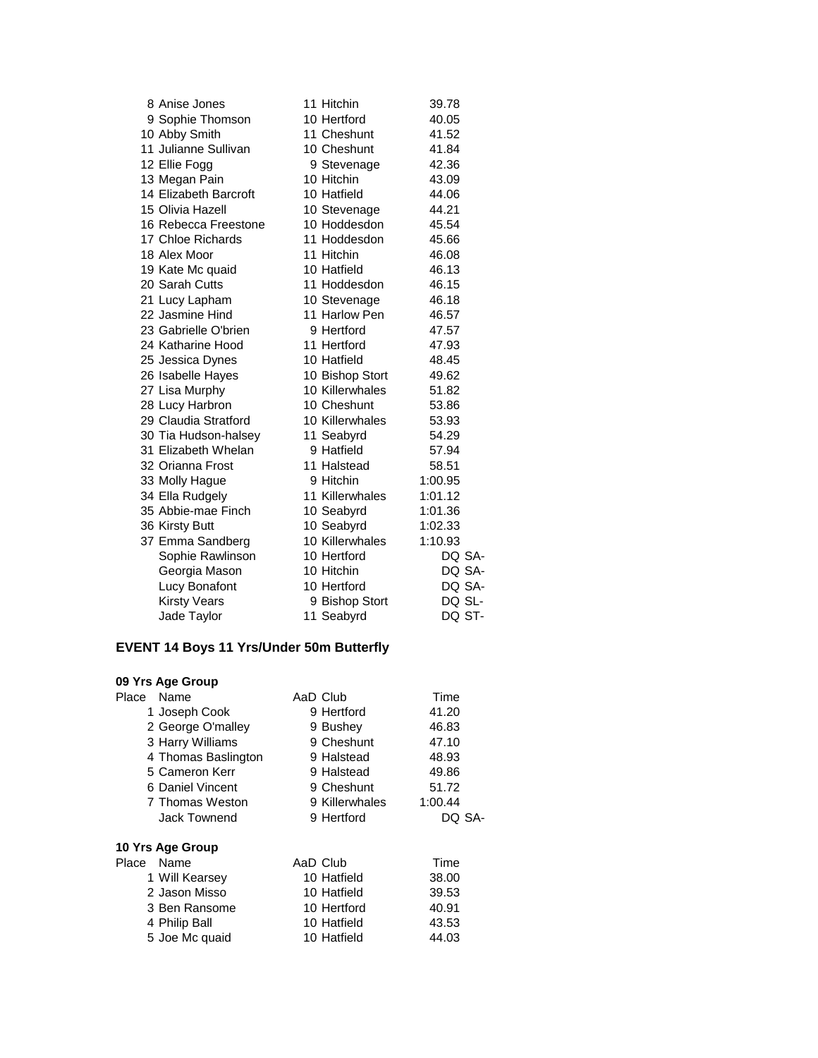| 8 Anise Jones         | 11 Hitchin      | 39.78   |  |
|-----------------------|-----------------|---------|--|
| 9 Sophie Thomson      | 10 Hertford     | 40.05   |  |
| 10 Abby Smith         | 11 Cheshunt     | 41.52   |  |
| 11 Julianne Sullivan  | 10 Cheshunt     | 41.84   |  |
| 12 Ellie Fogg         | 9 Stevenage     | 42.36   |  |
| 13 Megan Pain         | 10 Hitchin      | 43.09   |  |
| 14 Elizabeth Barcroft | 10 Hatfield     | 44.06   |  |
| 15 Olivia Hazell      | 10 Stevenage    | 44.21   |  |
| 16 Rebecca Freestone  | 10 Hoddesdon    | 45.54   |  |
| 17 Chloe Richards     | 11 Hoddesdon    | 45.66   |  |
| 18 Alex Moor          | 11 Hitchin      | 46.08   |  |
| 19 Kate Mc quaid      | 10 Hatfield     | 46.13   |  |
| 20 Sarah Cutts        | 11 Hoddesdon    | 46.15   |  |
| 21 Lucy Lapham        | 10 Stevenage    | 46.18   |  |
| 22 Jasmine Hind       | 11 Harlow Pen   | 46.57   |  |
| 23 Gabrielle O'brien  | 9 Hertford      | 47.57   |  |
| 24 Katharine Hood     | 11 Hertford     | 47.93   |  |
| 25 Jessica Dynes      | 10 Hatfield     | 48.45   |  |
| 26 Isabelle Hayes     | 10 Bishop Stort | 49.62   |  |
| 27 Lisa Murphy        | 10 Killerwhales | 51.82   |  |
| 28 Lucy Harbron       | 10 Cheshunt     | 53.86   |  |
| 29 Claudia Stratford  | 10 Killerwhales | 53.93   |  |
| 30 Tia Hudson-halsey  | 11 Seabyrd      | 54.29   |  |
| 31 Elizabeth Whelan   | 9 Hatfield      | 57.94   |  |
| 32 Orianna Frost      | 11 Halstead     | 58.51   |  |
| 33 Molly Hague        | 9 Hitchin       | 1:00.95 |  |
| 34 Ella Rudgely       | 11 Killerwhales | 1:01.12 |  |
| 35 Abbie-mae Finch    | 10 Seabyrd      | 1:01.36 |  |
| 36 Kirsty Butt        | 10 Seabyrd      | 1:02.33 |  |
| 37 Emma Sandberg      | 10 Killerwhales | 1:10.93 |  |
| Sophie Rawlinson      | 10 Hertford     | DQ SA-  |  |
| Georgia Mason         | 10 Hitchin      | DQ SA-  |  |
| Lucy Bonafont         | 10 Hertford     | DQ SA-  |  |
| <b>Kirsty Vears</b>   | 9 Bishop Stort  | DQ SL-  |  |
| Jade Taylor           | 11 Seabyrd      | DQ ST-  |  |

# **EVENT 14 Boys 11 Yrs/Under 50m Butterfly**

| 09 Yrs Age Group    |                |         |
|---------------------|----------------|---------|
| Place Name          | AaD Club       | Time    |
| 1 Joseph Cook       | 9 Hertford     | 41.20   |
| 2 George O'malley   | 9 Bushey       | 46.83   |
| 3 Harry Williams    | 9 Cheshunt     | 47.10   |
| 4 Thomas Baslington | 9 Halstead     | 48.93   |
| 5 Cameron Kerr      | 9 Halstead     | 49.86   |
| 6 Daniel Vincent    | 9 Cheshunt     | 51.72   |
| 7 Thomas Weston     | 9 Killerwhales | 1:00.44 |
| <b>Jack Townend</b> | 9 Hertford     | DO SA-  |
| 10 Yrs Age Group    |                |         |
| Place Name          | AaD Club       | Time    |
| 1 Will Kearsey      | 10 Hatfield    | 38.00   |
| 2 Jason Misso       | 10 Hatfield    | 39.53   |
| 3 Ben Ransome       | 10 Hertford    | 40.91   |
| 4 Philip Ball       | 10 Hatfield    | 43.53   |
| 5 Joe Mc quaid      | 10 Hatfield    | 44.03   |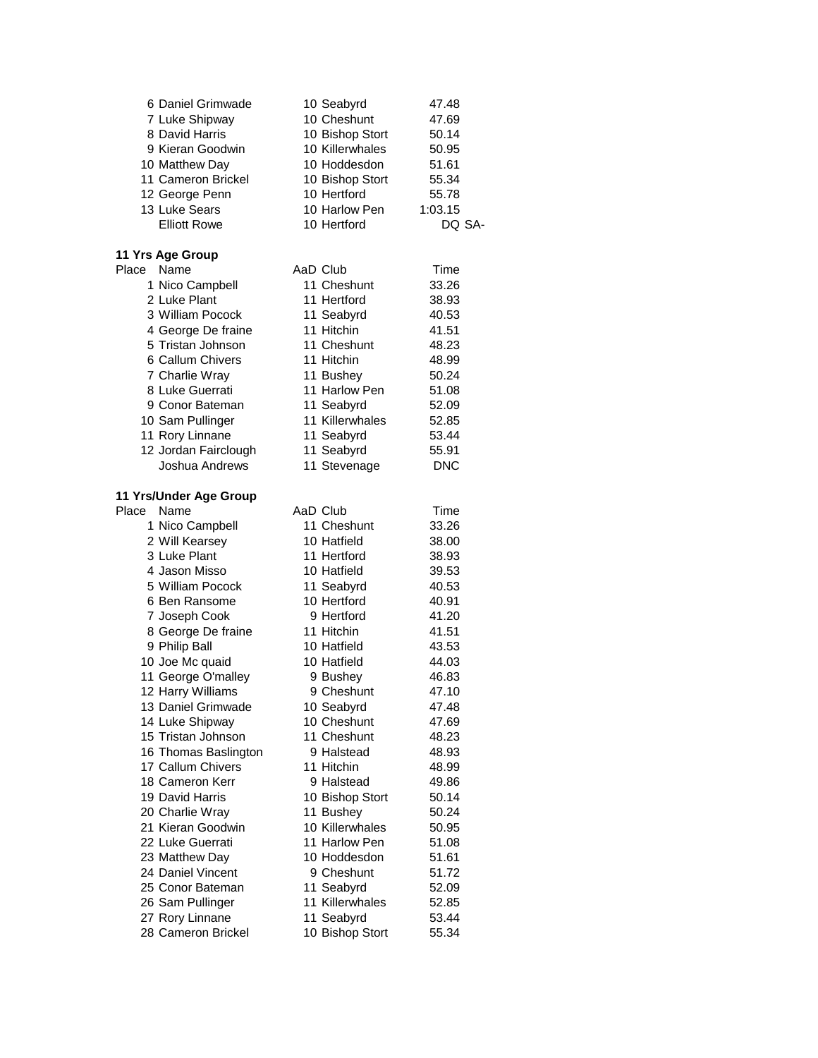| 6 Daniel Grimwade      | 10 Seabyrd      | 47.48      |
|------------------------|-----------------|------------|
| 7 Luke Shipway         | 10 Cheshunt     | 47.69      |
| 8 David Harris         | 10 Bishop Stort | 50.14      |
| 9 Kieran Goodwin       | 10 Killerwhales | 50.95      |
| 10 Matthew Day         | 10 Hoddesdon    | 51.61      |
| 11 Cameron Brickel     | 10 Bishop Stort | 55.34      |
| 12 George Penn         | 10 Hertford     | 55.78      |
| 13 Luke Sears          | 10 Harlow Pen   | 1:03.15    |
| <b>Elliott Rowe</b>    | 10 Hertford     | DQ SA-     |
| 11 Yrs Age Group       |                 |            |
| Place Name             | AaD Club        | Time       |
| 1 Nico Campbell        | 11 Cheshunt     | 33.26      |
| 2 Luke Plant           | 11 Hertford     | 38.93      |
| 3 William Pocock       | 11 Seabyrd      | 40.53      |
| 4 George De fraine     | 11 Hitchin      | 41.51      |
| 5 Tristan Johnson      | 11 Cheshunt     | 48.23      |
| 6 Callum Chivers       | 11 Hitchin      | 48.99      |
| 7 Charlie Wray         | 11 Bushey       | 50.24      |
| 8 Luke Guerrati        | 11 Harlow Pen   | 51.08      |
| 9 Conor Bateman        | 11 Seabyrd      | 52.09      |
| 10 Sam Pullinger       | 11 Killerwhales | 52.85      |
| 11 Rory Linnane        | 11 Seabyrd      | 53.44      |
| 12 Jordan Fairclough   | 11 Seabyrd      | 55.91      |
| Joshua Andrews         | 11 Stevenage    | <b>DNC</b> |
| 11 Yrs/Under Age Group |                 |            |
| Place<br>Name          | AaD Club        | Time       |
| 1 Nico Campbell        | 11 Cheshunt     | 33.26      |
| 2 Will Kearsey         | 10 Hatfield     | 38.00      |
| 3 Luke Plant           | 11 Hertford     | 38.93      |
| 4 Jason Misso          | 10 Hatfield     | 39.53      |
| 5 William Pocock       | 11 Seabyrd      | 40.53      |
| 6 Ben Ransome          | 10 Hertford     | 40.91      |
| 7 Joseph Cook          | 9 Hertford      | 41.20      |
| 8 George De fraine     | 11 Hitchin      | 41.51      |
| 9 Philip Ball          | 10 Hatfield     | 43.53      |
| 10 Joe Mc quaid        | 10 Hatfield     | 44.03      |
| 11 George O'malley     | 9 Bushey        | 46.83      |
| 12 Harry Williams      | 9 Cheshunt      | 47.10      |
| 13 Daniel Grimwade     | 10 Seabyrd      | 47.48      |
| 14 Luke Shipway        | 10 Cheshunt     | 47.69      |
| 15 Tristan Johnson     | 11 Cheshunt     | 48.23      |
| 16 Thomas Baslington   | 9 Halstead      | 48.93      |
| 17 Callum Chivers      | 11 Hitchin      | 48.99      |
| 18 Cameron Kerr        | 9 Halstead      | 49.86      |
| 19 David Harris        | 10 Bishop Stort | 50.14      |
| 20 Charlie Wray        | 11 Bushey       | 50.24      |
| 21 Kieran Goodwin      | 10 Killerwhales | 50.95      |
| 22 Luke Guerrati       | 11 Harlow Pen   | 51.08      |
| 23 Matthew Day         | 10 Hoddesdon    | 51.61      |
| 24 Daniel Vincent      | 9 Cheshunt      | 51.72      |
| 25 Conor Bateman       | 11 Seabyrd      | 52.09      |
| 26 Sam Pullinger       | 11 Killerwhales | 52.85      |
| 27 Rory Linnane        | 11 Seabyrd      | 53.44      |
| 28 Cameron Brickel     | 10 Bishop Stort | 55.34      |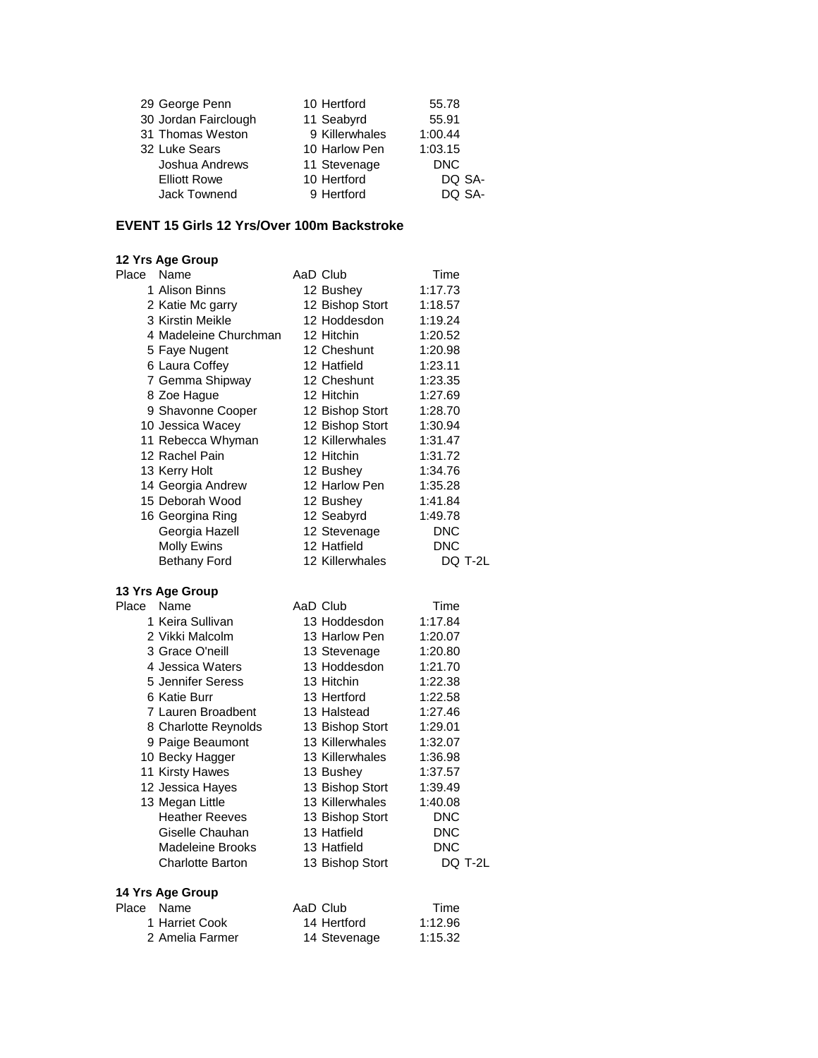| 29 George Penn       | 10 Hertford    | 55.78      |
|----------------------|----------------|------------|
| 30 Jordan Fairclough | 11 Seabyrd     | 55.91      |
| 31 Thomas Weston     | 9 Killerwhales | 1:00.44    |
| 32 Luke Sears        | 10 Harlow Pen  | 1:03.15    |
| Joshua Andrews       | 11 Stevenage   | <b>DNC</b> |
| <b>Elliott Rowe</b>  | 10 Hertford    | DQ SA-     |
| Jack Townend         | 9 Hertford     | DO SA-     |

#### **EVENT 15 Girls 12 Yrs/Over 100m Backstroke**

| 12 Yrs Age Group        |                 |            |
|-------------------------|-----------------|------------|
| Place<br>Name           | AaD Club        | Time       |
| 1 Alison Binns          | 12 Bushey       | 1:17.73    |
| 2 Katie Mc garry        | 12 Bishop Stort | 1:18.57    |
| 3 Kirstin Meikle        | 12 Hoddesdon    | 1:19.24    |
| 4 Madeleine Churchman   | 12 Hitchin      | 1:20.52    |
| 5 Faye Nugent           | 12 Cheshunt     | 1:20.98    |
| 6 Laura Coffey          | 12 Hatfield     | 1:23.11    |
| 7 Gemma Shipway         | 12 Cheshunt     | 1:23.35    |
| 8 Zoe Hague             | 12 Hitchin      | 1:27.69    |
| 9 Shavonne Cooper       | 12 Bishop Stort | 1:28.70    |
| 10 Jessica Wacey        | 12 Bishop Stort | 1:30.94    |
| 11 Rebecca Whyman       | 12 Killerwhales | 1:31.47    |
| 12 Rachel Pain          | 12 Hitchin      | 1:31.72    |
| 13 Kerry Holt           | 12 Bushey       | 1:34.76    |
| 14 Georgia Andrew       | 12 Harlow Pen   | 1:35.28    |
| 15 Deborah Wood         | 12 Bushey       | 1:41.84    |
| 16 Georgina Ring        | 12 Seabyrd      | 1:49.78    |
| Georgia Hazell          | 12 Stevenage    | <b>DNC</b> |
| <b>Molly Ewins</b>      | 12 Hatfield     | <b>DNC</b> |
| <b>Bethany Ford</b>     | 12 Killerwhales | DQ T-2L    |
| 13 Yrs Age Group        |                 |            |
| Name<br>Place           | AaD Club        | Time       |
| 1 Keira Sullivan        | 13 Hoddesdon    | 1:17.84    |
| 2 Vikki Malcolm         | 13 Harlow Pen   | 1:20.07    |
| 3 Grace O'neill         | 13 Stevenage    | 1:20.80    |
| 4 Jessica Waters        | 13 Hoddesdon    | 1:21.70    |
| 5 Jennifer Seress       | 13 Hitchin      | 1:22.38    |
| 6 Katie Burr            | 13 Hertford     | 1:22.58    |
| 7 Lauren Broadbent      | 13 Halstead     | 1:27.46    |
| 8 Charlotte Reynolds    | 13 Bishop Stort | 1:29.01    |
| 9 Paige Beaumont        | 13 Killerwhales | 1:32.07    |
| 10 Becky Hagger         | 13 Killerwhales | 1:36.98    |
| 11 Kirsty Hawes         | 13 Bushey       | 1:37.57    |
| 12 Jessica Hayes        | 13 Bishop Stort | 1:39.49    |
| 13 Megan Little         | 13 Killerwhales | 1:40.08    |
| <b>Heather Reeves</b>   | 13 Bishop Stort | <b>DNC</b> |
| Giselle Chauhan         | 13 Hatfield     | DNC        |
| Madeleine Brooks        | 13 Hatfield     | <b>DNC</b> |
| <b>Charlotte Barton</b> | 13 Bishop Stort | DQ T-2L    |
| 14 Yrs Age Group        |                 |            |
| Place Name              | AaD Club        | Time       |
| 1 Harriet Cook          | 14 Hertford     | 1:12.96    |

| Name            | AaD Club     | Time    |
|-----------------|--------------|---------|
| 1 Harriet Cook  | 14 Hertford  | 1:12.96 |
| 2 Amelia Farmer | 14 Stevenage | 1:15.32 |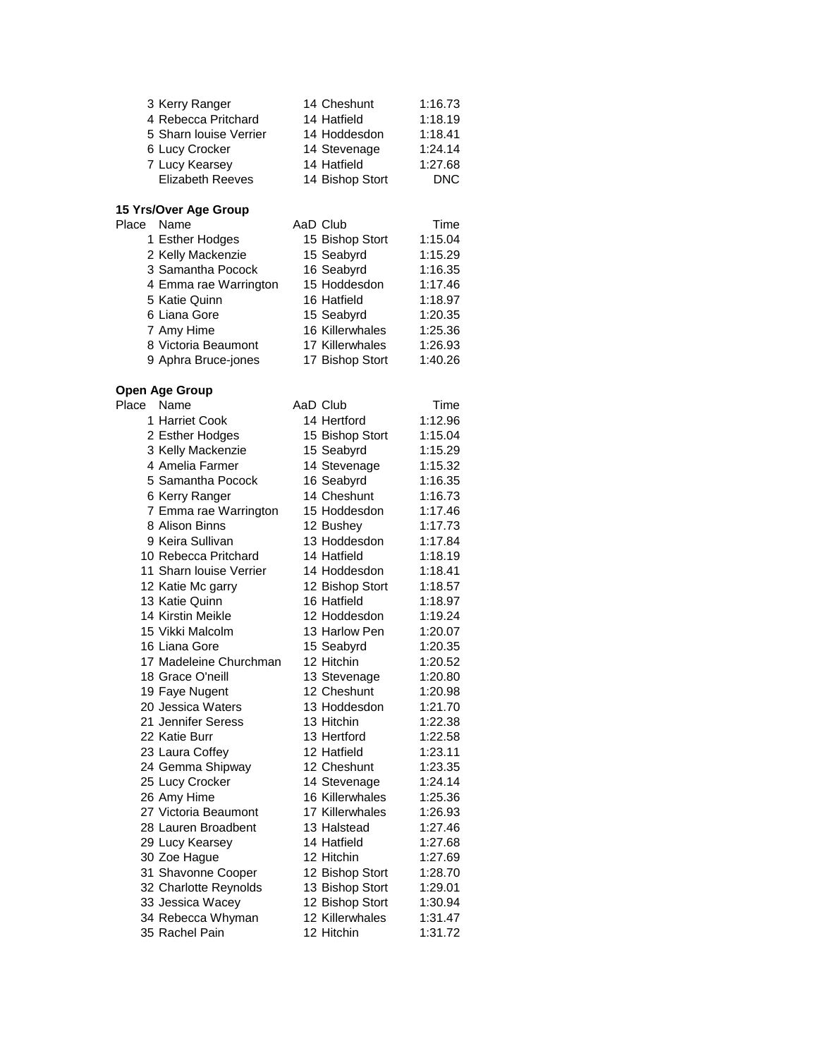| 3 Kerry Ranger          | 14 Cheshunt     | 1:16.73 |
|-------------------------|-----------------|---------|
| 4 Rebecca Pritchard     | 14 Hatfield     | 1:18.19 |
| 5 Sharn louise Verrier  | 14 Hoddesdon    | 1:18.41 |
| 6 Lucy Crocker          | 14 Stevenage    | 1:24.14 |
| 7 Lucy Kearsey          | 14 Hatfield     | 1:27.68 |
| <b>Elizabeth Reeves</b> | 14 Bishop Stort | DNC.    |

# **15 Yrs/Over Age Group**

| Place | Name                  | AaD Club        | Time    |
|-------|-----------------------|-----------------|---------|
|       | 1 Esther Hodges       | 15 Bishop Stort | 1:15.04 |
|       | 2 Kelly Mackenzie     | 15 Seabyrd      | 1:15.29 |
|       | 3 Samantha Pocock     | 16 Seabyrd      | 1:16.35 |
|       | 4 Emma rae Warrington | 15 Hoddesdon    | 1:17.46 |
|       | 5 Katie Quinn         | 16 Hatfield     | 1:18.97 |
|       | 6 Liana Gore          | 15 Seabyrd      | 1:20.35 |
|       | 7 Amy Hime            | 16 Killerwhales | 1:25.36 |
|       | 8 Victoria Beaumont   | 17 Killerwhales | 1:26.93 |
|       | 9 Aphra Bruce-jones   | 17 Bishop Stort | 1:40.26 |

#### **Open Age Group**

| Place | Name                    | AaD Club        | Time    |
|-------|-------------------------|-----------------|---------|
|       | 1 Harriet Cook          | 14 Hertford     | 1:12.96 |
|       | 2 Esther Hodges         | 15 Bishop Stort | 1:15.04 |
|       | 3 Kelly Mackenzie       | 15 Seabyrd      | 1:15.29 |
|       | 4 Amelia Farmer         | 14 Stevenage    | 1:15.32 |
|       | 5 Samantha Pocock       | 16 Seabyrd      | 1:16.35 |
|       | 6 Kerry Ranger          | 14 Cheshunt     | 1:16.73 |
|       | 7 Emma rae Warrington   | 15 Hoddesdon    | 1:17.46 |
|       | 8 Alison Binns          | 12 Bushey       | 1:17.73 |
|       | 9 Keira Sullivan        | 13 Hoddesdon    | 1:17.84 |
|       | 10 Rebecca Pritchard    | 14 Hatfield     | 1:18.19 |
|       | 11 Sharn louise Verrier | 14 Hoddesdon    | 1:18.41 |
|       | 12 Katie Mc garry       | 12 Bishop Stort | 1:18.57 |
|       | 13 Katie Quinn          | 16 Hatfield     | 1:18.97 |
|       | 14 Kirstin Meikle       | 12 Hoddesdon    | 1:19.24 |
|       | 15 Vikki Malcolm        | 13 Harlow Pen   | 1:20.07 |
|       | 16 Liana Gore           | 15 Seabyrd      | 1:20.35 |
|       | 17 Madeleine Churchman  | 12 Hitchin      | 1:20.52 |
|       | 18 Grace O'neill        | 13 Stevenage    | 1:20.80 |
|       | 19 Faye Nugent          | 12 Cheshunt     | 1:20.98 |
|       | 20 Jessica Waters       | 13 Hoddesdon    | 1:21.70 |
|       | 21 Jennifer Seress      | 13 Hitchin      | 1:22.38 |
|       | 22 Katie Burr           | 13 Hertford     | 1:22.58 |
|       | 23 Laura Coffey         | 12 Hatfield     | 1:23.11 |
|       | 24 Gemma Shipway        | 12 Cheshunt     | 1:23.35 |
|       | 25 Lucy Crocker         | 14 Stevenage    | 1:24.14 |
|       | 26 Amy Hime             | 16 Killerwhales | 1:25.36 |
|       | 27 Victoria Beaumont    | 17 Killerwhales | 1:26.93 |
|       | 28 Lauren Broadbent     | 13 Halstead     | 1:27.46 |
|       | 29 Lucy Kearsey         | 14 Hatfield     | 1:27.68 |
|       | 30 Zoe Hague            | 12 Hitchin      | 1:27.69 |
|       | 31 Shavonne Cooper      | 12 Bishop Stort | 1:28.70 |
|       | 32 Charlotte Reynolds   | 13 Bishop Stort | 1:29.01 |
|       | 33 Jessica Wacey        | 12 Bishop Stort | 1:30.94 |
|       | 34 Rebecca Whyman       | 12 Killerwhales | 1:31.47 |
|       | 35 Rachel Pain          | 12 Hitchin      | 1:31.72 |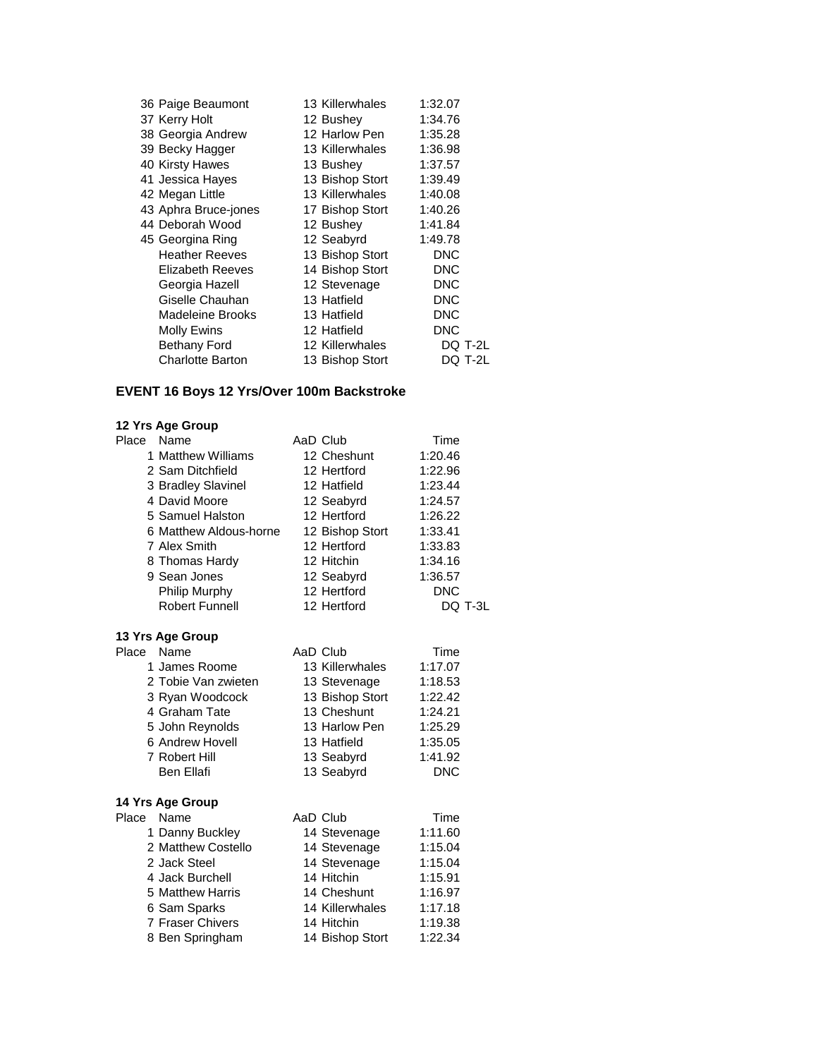| 36 Paige Beaumont       | 13 Killerwhales | 1:32.07    |         |
|-------------------------|-----------------|------------|---------|
| 37 Kerry Holt           | 12 Bushey       | 1:34.76    |         |
| 38 Georgia Andrew       | 12 Harlow Pen   | 1:35.28    |         |
| 39 Becky Hagger         | 13 Killerwhales | 1:36.98    |         |
| 40 Kirsty Hawes         | 13 Bushey       | 1:37.57    |         |
| 41 Jessica Hayes        | 13 Bishop Stort | 1:39.49    |         |
| 42 Megan Little         | 13 Killerwhales | 1:40.08    |         |
| 43 Aphra Bruce-jones    | 17 Bishop Stort | 1:40.26    |         |
| 44 Deborah Wood         | 12 Bushey       | 1:41.84    |         |
| 45 Georgina Ring        | 12 Seabyrd      | 1:49.78    |         |
| <b>Heather Reeves</b>   | 13 Bishop Stort | DNC        |         |
| Elizabeth Reeves        | 14 Bishop Stort | DNC        |         |
| Georgia Hazell          | 12 Stevenage    | DNC        |         |
| Giselle Chauhan         | 13 Hatfield     | <b>DNC</b> |         |
| Madeleine Brooks        | 13 Hatfield     | DNC        |         |
| <b>Molly Ewins</b>      | 12 Hatfield     | DNC        |         |
| <b>Bethany Ford</b>     | 12 Killerwhales |            | DQ T-2L |
| <b>Charlotte Barton</b> | 13 Bishop Stort |            | DQ T-2L |

# **EVENT 16 Boys 12 Yrs/Over 100m Backstroke**

| Place | Name                   | AaD Club        | Time       |  |
|-------|------------------------|-----------------|------------|--|
|       | 1 Matthew Williams     | 12 Cheshunt     | 1:20.46    |  |
|       | 2 Sam Ditchfield       | 12 Hertford     | 1:22.96    |  |
|       | 3 Bradley Slavinel     | 12 Hatfield     | 1:23.44    |  |
|       | 4 David Moore          | 12 Seabyrd      | 1:24.57    |  |
|       | 5 Samuel Halston       | 12 Hertford     | 1:26.22    |  |
|       | 6 Matthew Aldous-horne | 12 Bishop Stort | 1:33.41    |  |
|       | 7 Alex Smith           | 12 Hertford     | 1:33.83    |  |
|       | 8 Thomas Hardy         | 12 Hitchin      | 1:34.16    |  |
|       | 9 Sean Jones           | 12 Seabyrd      | 1:36.57    |  |
|       | Philip Murphy          | 12 Hertford     | <b>DNC</b> |  |
|       | <b>Robert Funnell</b>  | 12 Hertford     | DQ T-3L    |  |
|       | 13 Yrs Age Group       |                 |            |  |
| Place | Name                   | AaD Club        | Time       |  |
|       | 1 James Roome          | 13 Killerwhales | 1:17.07    |  |
|       | 2 Tobie Van zwieten    | 13 Stevenage    | 1:18.53    |  |
|       | 3 Ryan Woodcock        | 13 Bishop Stort | 1:22.42    |  |
|       | 4 Graham Tate          | 13 Cheshunt     | 1:24.21    |  |
|       | 5 John Reynolds        | 13 Harlow Pen   | 1:25.29    |  |
|       | 6 Andrew Hovell        | 13 Hatfield     | 1:35.05    |  |
|       | 7 Robert Hill          | 13 Seabyrd      | 1:41.92    |  |
|       | <b>Ben Ellafi</b>      | 13 Seabyrd      | <b>DNC</b> |  |
|       | 14 Yrs Age Group       |                 |            |  |
| Place | Name                   | AaD Club        | Time       |  |
|       | 1 Danny Buckley        | 14 Stevenage    | 1:11.60    |  |
|       | 2 Matthew Costello     | 14 Stevenage    | 1:15.04    |  |
|       | 2 Jack Steel           | 14 Stevenage    | 1:15.04    |  |
|       | 4 Jack Burchell        | 14 Hitchin      | 1:15.91    |  |
|       | 5 Matthew Harris       | 14 Cheshunt     | 1:16.97    |  |
|       | 6 Sam Sparks           | 14 Killerwhales | 1:17.18    |  |
|       | 7 Fraser Chivers       | 14 Hitchin      | 1:19.38    |  |
|       | 8 Ben Springham        | 14 Bishop Stort | 1:22.34    |  |
|       |                        |                 |            |  |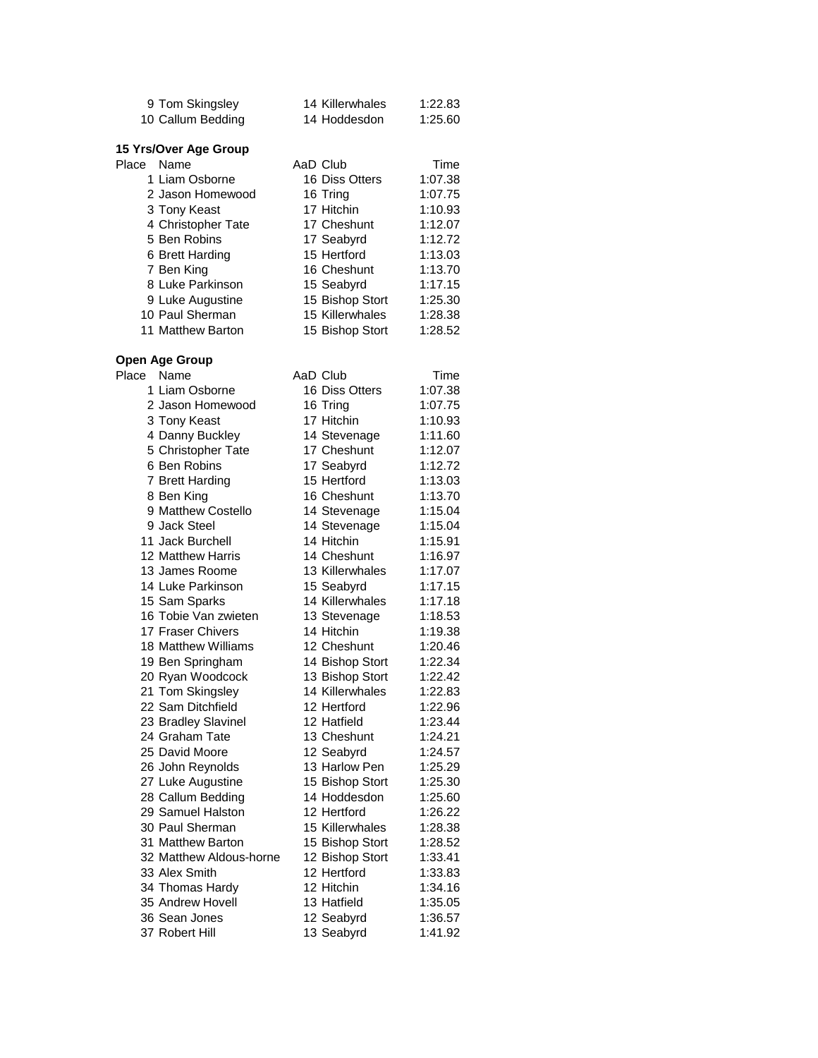|            | 9 Tom Skingsley       | 14 Killerwhales | 1:22.83 |
|------------|-----------------------|-----------------|---------|
|            | 10 Callum Bedding     | 14 Hoddesdon    | 1:25.60 |
|            |                       |                 |         |
|            | 15 Yrs/Over Age Group |                 |         |
| Place Name |                       | AaD Club        | Time    |
|            | 1 Liam Osborne        | 16 Diss Otters  | 1:07.38 |
|            | 2 Jason Homewood      | 16 Tring        | 1:07.75 |
|            | 3 Tony Keast          | 17 Hitchin      | 1:10.93 |
|            | 4 Christopher Tate    | 17 Cheshunt     | 1:12.07 |
|            | 5 Ben Robins          | 17 Seabyrd      | 1:12.72 |
|            | 6 Brett Harding       | 15 Hertford     | 1:13.03 |
|            | 7 Ben King            | 16 Cheshunt     | 1:13.70 |
|            | 8 Luke Parkinson      | 15 Seabyrd      | 1:17.15 |
|            | 9 Luke Augustine      | 15 Bishop Stort | 1:25.30 |
|            | 10 Paul Sherman       | 15 Killerwhales | 1:28.38 |
|            | 11 Matthew Barton     | 15 Bishop Stort | 1:28.52 |
|            |                       |                 |         |

#### **Open Age Group**

| Place | Name                    | AaD Club        | Time    |
|-------|-------------------------|-----------------|---------|
|       | 1 Liam Osborne          | 16 Diss Otters  | 1:07.38 |
|       | 2 Jason Homewood        | 16 Tring        | 1:07.75 |
|       | 3 Tony Keast            | 17 Hitchin      | 1:10.93 |
|       | 4 Danny Buckley         | 14 Stevenage    | 1:11.60 |
|       | 5 Christopher Tate      | 17 Cheshunt     | 1:12.07 |
|       | 6 Ben Robins            | 17 Seabyrd      | 1:12.72 |
|       | 7 Brett Harding         | 15 Hertford     | 1:13.03 |
|       | 8 Ben King              | 16 Cheshunt     | 1:13.70 |
|       | 9 Matthew Costello      | 14 Stevenage    | 1:15.04 |
|       | 9 Jack Steel            | 14 Stevenage    | 1:15.04 |
|       | 11 Jack Burchell        | 14 Hitchin      | 1:15.91 |
|       | 12 Matthew Harris       | 14 Cheshunt     | 1:16.97 |
|       | 13 James Roome          | 13 Killerwhales | 1:17.07 |
|       | 14 Luke Parkinson       | 15 Seabyrd      | 1:17.15 |
|       | 15 Sam Sparks           | 14 Killerwhales | 1:17.18 |
|       | 16 Tobie Van zwieten    | 13 Stevenage    | 1:18.53 |
|       | 17 Fraser Chivers       | 14 Hitchin      | 1:19.38 |
|       | 18 Matthew Williams     | 12 Cheshunt     | 1:20.46 |
|       | 19 Ben Springham        | 14 Bishop Stort | 1:22.34 |
|       | 20 Ryan Woodcock        | 13 Bishop Stort | 1:22.42 |
|       | 21 Tom Skingsley        | 14 Killerwhales | 1:22.83 |
|       | 22 Sam Ditchfield       | 12 Hertford     | 1:22.96 |
|       | 23 Bradley Slavinel     | 12 Hatfield     | 1:23.44 |
|       | 24 Graham Tate          | 13 Cheshunt     | 1:24.21 |
|       | 25 David Moore          | 12 Seabyrd      | 1:24.57 |
|       | 26 John Reynolds        | 13 Harlow Pen   | 1:25.29 |
|       | 27 Luke Augustine       | 15 Bishop Stort | 1:25.30 |
|       | 28 Callum Bedding       | 14 Hoddesdon    | 1:25.60 |
|       | 29 Samuel Halston       | 12 Hertford     | 1:26.22 |
|       | 30 Paul Sherman         | 15 Killerwhales | 1:28.38 |
|       | 31 Matthew Barton       | 15 Bishop Stort | 1:28.52 |
|       | 32 Matthew Aldous-horne | 12 Bishop Stort | 1:33.41 |
|       | 33 Alex Smith           | 12 Hertford     | 1:33.83 |
|       | 34 Thomas Hardy         | 12 Hitchin      | 1:34.16 |
|       | 35 Andrew Hovell        | 13 Hatfield     | 1:35.05 |
|       | 36 Sean Jones           | 12 Seabyrd      | 1:36.57 |
|       | 37 Robert Hill          | 13 Seabyrd      | 1:41.92 |
|       |                         |                 |         |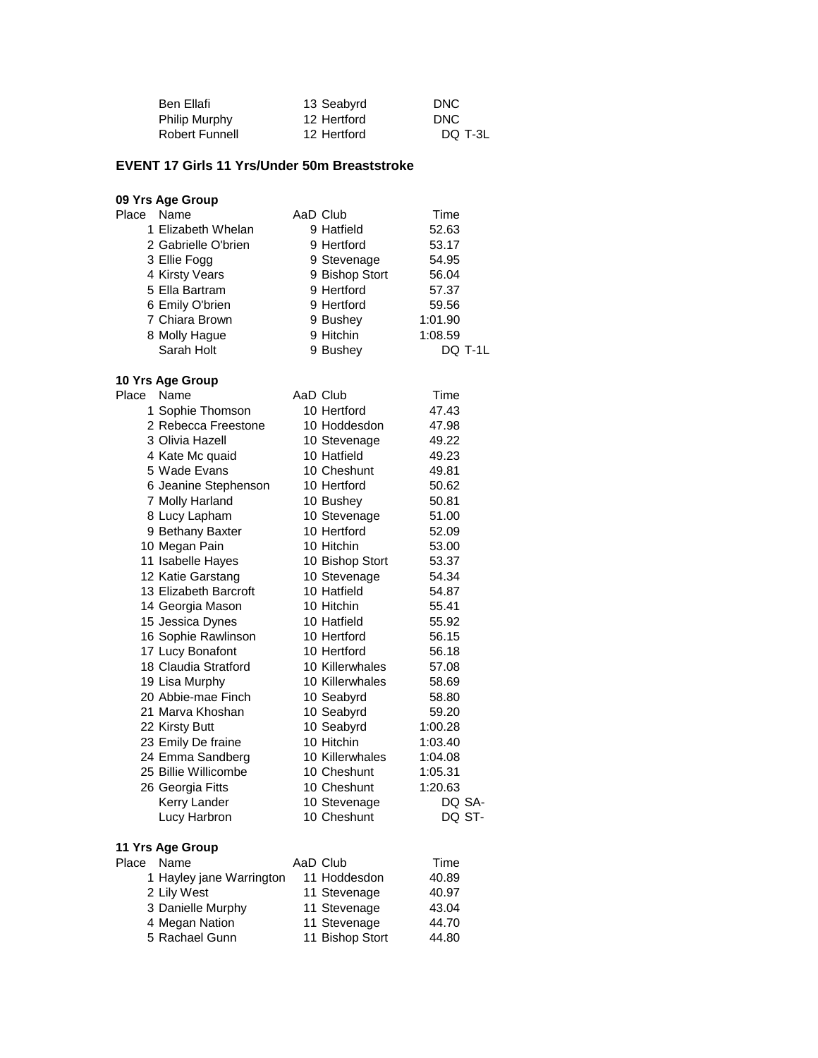| Ben Ellafi     | 13 Seabyrd  | DNC        |
|----------------|-------------|------------|
| Philip Murphy  | 12 Hertford | <b>DNC</b> |
| Robert Funnell | 12 Hertford | DO T-3L    |

# **EVENT 17 Girls 11 Yrs/Under 50m Breaststroke**

| 09 Yrs Age Group         |                             |                |  |  |  |  |
|--------------------------|-----------------------------|----------------|--|--|--|--|
| Place<br>Name            | AaD Club                    | Time           |  |  |  |  |
| 1 Elizabeth Whelan       | 9 Hatfield                  | 52.63          |  |  |  |  |
| 2 Gabrielle O'brien      | 9 Hertford                  | 53.17          |  |  |  |  |
| 3 Ellie Fogg             | 9 Stevenage                 | 54.95          |  |  |  |  |
| 4 Kirsty Vears           | 9 Bishop Stort              | 56.04          |  |  |  |  |
| 5 Ella Bartram           | 9 Hertford                  | 57.37          |  |  |  |  |
| 6 Emily O'brien          | 9 Hertford                  | 59.56          |  |  |  |  |
| 7 Chiara Brown           | 9 Bushey                    | 1:01.90        |  |  |  |  |
| 8 Molly Hague            | 9 Hitchin                   | 1:08.59        |  |  |  |  |
| Sarah Holt               | 9 Bushey                    | DQ T-1L        |  |  |  |  |
|                          |                             |                |  |  |  |  |
| 10 Yrs Age Group         |                             |                |  |  |  |  |
| Place<br>Name            | AaD Club                    | Time           |  |  |  |  |
| 1 Sophie Thomson         | 10 Hertford                 | 47.43          |  |  |  |  |
| 2 Rebecca Freestone      | 10 Hoddesdon                | 47.98          |  |  |  |  |
| 3 Olivia Hazell          | 10 Stevenage                | 49.22          |  |  |  |  |
| 4 Kate Mc quaid          | 10 Hatfield                 | 49.23          |  |  |  |  |
| 5 Wade Evans             | 10 Cheshunt                 | 49.81          |  |  |  |  |
| 6 Jeanine Stephenson     | 10 Hertford                 | 50.62          |  |  |  |  |
| 7 Molly Harland          | 10 Bushey                   | 50.81          |  |  |  |  |
| 8 Lucy Lapham            |                             |                |  |  |  |  |
|                          | 10 Stevenage<br>10 Hertford | 51.00<br>52.09 |  |  |  |  |
| 9 Bethany Baxter         |                             |                |  |  |  |  |
| 10 Megan Pain            | 10 Hitchin                  | 53.00          |  |  |  |  |
| 11 Isabelle Hayes        | 10 Bishop Stort             | 53.37          |  |  |  |  |
| 12 Katie Garstang        | 10 Stevenage                | 54.34          |  |  |  |  |
| 13 Elizabeth Barcroft    | 10 Hatfield                 | 54.87          |  |  |  |  |
| 14 Georgia Mason         | 10 Hitchin                  | 55.41          |  |  |  |  |
| 15 Jessica Dynes         | 10 Hatfield                 | 55.92          |  |  |  |  |
| 16 Sophie Rawlinson      | 10 Hertford                 | 56.15          |  |  |  |  |
| 17 Lucy Bonafont         | 10 Hertford                 | 56.18          |  |  |  |  |
| 18 Claudia Stratford     | 10 Killerwhales             | 57.08          |  |  |  |  |
| 19 Lisa Murphy           | 10 Killerwhales             | 58.69          |  |  |  |  |
| 20 Abbie-mae Finch       | 10 Seabyrd                  | 58.80          |  |  |  |  |
| 21 Marva Khoshan         | 10 Seabyrd                  | 59.20          |  |  |  |  |
| 22 Kirsty Butt           | 10 Seabyrd                  | 1:00.28        |  |  |  |  |
| 23 Emily De fraine       | 10 Hitchin                  | 1:03.40        |  |  |  |  |
| 24 Emma Sandberg         | 10 Killerwhales             | 1:04.08        |  |  |  |  |
| 25 Billie Willicombe     | 10 Cheshunt                 | 1:05.31        |  |  |  |  |
| 26 Georgia Fitts         | 10 Cheshunt                 | 1:20.63        |  |  |  |  |
| Kerry Lander             | 10 Stevenage                | DQ SA-         |  |  |  |  |
| Lucy Harbron             | 10 Cheshunt                 | DQ ST-         |  |  |  |  |
|                          |                             |                |  |  |  |  |
| 11 Yrs Age Group         |                             |                |  |  |  |  |
| Place<br>Name            | AaD Club                    | Time           |  |  |  |  |
| 1 Hayley jane Warrington | 11 Hoddesdon                | 40.89          |  |  |  |  |
| 2 Lily West              | 11 Stevenage                | 40.97          |  |  |  |  |
| 3 Danielle Murphy        | 11 Stevenage                | 43.04          |  |  |  |  |

4 Megan Nation **11 Stevenage** 44.70 5 Rachael Gunn 11 Bishop Stort 44.80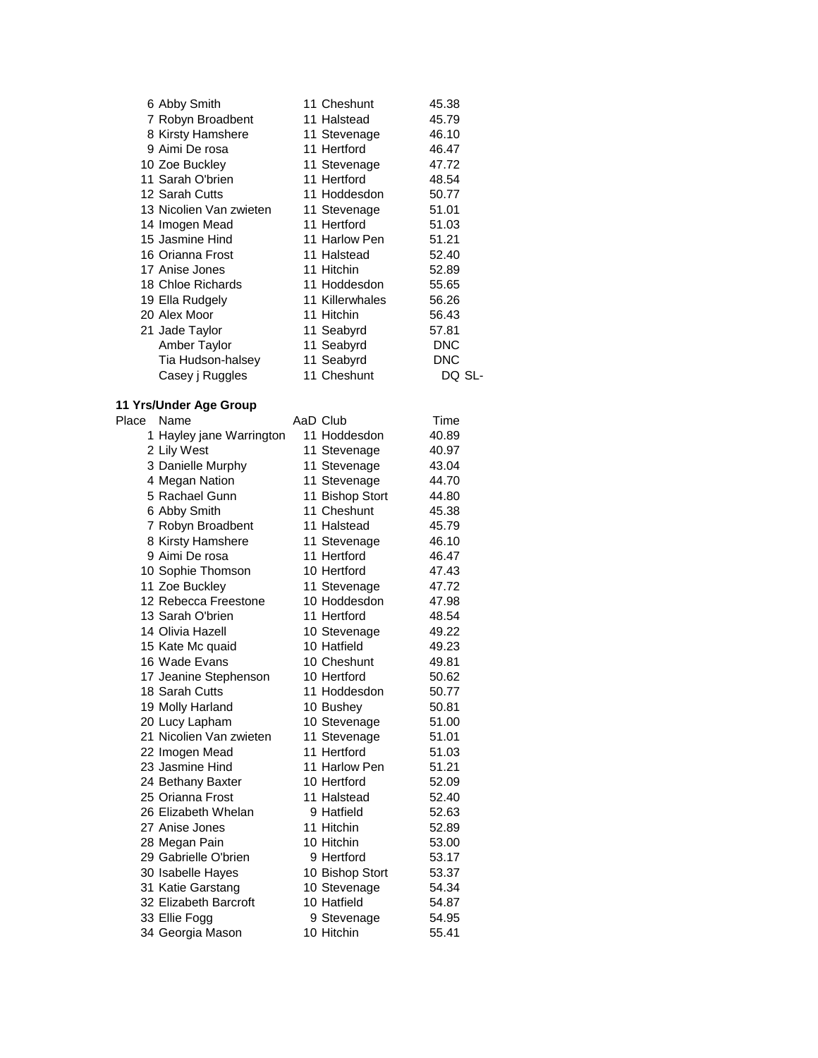| 6 Abby Smith            | 11 Cheshunt     | 45.38      |
|-------------------------|-----------------|------------|
| 7 Robyn Broadbent       | 11 Halstead     | 45.79      |
| 8 Kirsty Hamshere       | 11 Stevenage    | 46.10      |
| 9 Aimi De rosa          | 11 Hertford     | 46.47      |
| 10 Zoe Buckley          | 11 Stevenage    | 47.72      |
| 11 Sarah O'brien        | 11 Hertford     | 48.54      |
| 12 Sarah Cutts          | 11 Hoddesdon    | 50.77      |
| 13 Nicolien Van zwieten | 11 Stevenage    | 51.01      |
| 14 Imogen Mead          | 11 Hertford     | 51.03      |
| 15 Jasmine Hind         | 11 Harlow Pen   | 51.21      |
| 16 Orianna Frost        | 11 Halstead     | 52.40      |
| 17 Anise Jones          | 11 Hitchin      | 52.89      |
| 18 Chloe Richards       | 11 Hoddesdon    | 55.65      |
| 19 Ella Rudgely         | 11 Killerwhales | 56.26      |
| 20 Alex Moor            | 11 Hitchin      | 56.43      |
| 21 Jade Taylor          | 11 Seabyrd      | 57.81      |
| Amber Taylor            | 11 Seabyrd      | <b>DNC</b> |
| Tia Hudson-halsey       | 11 Seabyrd      | DNC        |
| Casey j Ruggles         | 11 Cheshunt     | DO SL-     |

#### **11 Yrs/Under Age Group**

| Place | Name                     | AaD Club        | Time  |
|-------|--------------------------|-----------------|-------|
|       | 1 Hayley jane Warrington | 11 Hoddesdon    | 40.89 |
|       | 2 Lily West              | 11 Stevenage    | 40.97 |
|       | 3 Danielle Murphy        | 11 Stevenage    | 43.04 |
|       | 4 Megan Nation           | 11 Stevenage    | 44.70 |
|       | 5 Rachael Gunn           | 11 Bishop Stort | 44.80 |
|       | 6 Abby Smith             | 11 Cheshunt     | 45.38 |
|       | 7 Robyn Broadbent        | 11 Halstead     | 45.79 |
|       | 8 Kirsty Hamshere        | 11 Stevenage    | 46.10 |
|       | 9 Aimi De rosa           | 11 Hertford     | 46.47 |
|       | 10 Sophie Thomson        | 10 Hertford     | 47.43 |
|       | 11 Zoe Buckley           | 11 Stevenage    | 47.72 |
|       | 12 Rebecca Freestone     | 10 Hoddesdon    | 47.98 |
|       | 13 Sarah O'brien         | 11 Hertford     | 48.54 |
|       | 14 Olivia Hazell         | 10 Stevenage    | 49.22 |
|       | 15 Kate Mc quaid         | 10 Hatfield     | 49.23 |
|       | 16 Wade Evans            | 10 Cheshunt     | 49.81 |
|       | 17 Jeanine Stephenson    | 10 Hertford     | 50.62 |
|       | 18 Sarah Cutts           | 11 Hoddesdon    | 50.77 |
|       | 19 Molly Harland         | 10 Bushey       | 50.81 |
|       | 20 Lucy Lapham           | 10 Stevenage    | 51.00 |
|       | 21 Nicolien Van zwieten  | 11 Stevenage    | 51.01 |
|       | 22 Imogen Mead           | 11 Hertford     | 51.03 |
|       | 23 Jasmine Hind          | 11 Harlow Pen   | 51.21 |
|       | 24 Bethany Baxter        | 10 Hertford     | 52.09 |
|       | 25 Orianna Frost         | 11 Halstead     | 52.40 |
|       | 26 Elizabeth Whelan      | 9 Hatfield      | 52.63 |
|       | 27 Anise Jones           | 11 Hitchin      | 52.89 |
|       | 28 Megan Pain            | 10 Hitchin      | 53.00 |
|       | 29 Gabrielle O'brien     | 9 Hertford      | 53.17 |
|       | 30 Isabelle Hayes        | 10 Bishop Stort | 53.37 |
|       | 31 Katie Garstang        | 10 Stevenage    | 54.34 |
|       | 32 Elizabeth Barcroft    | 10 Hatfield     | 54.87 |
|       | 33 Ellie Fogg            | 9 Stevenage     | 54.95 |
|       | 34 Georgia Mason         | 10 Hitchin      | 55.41 |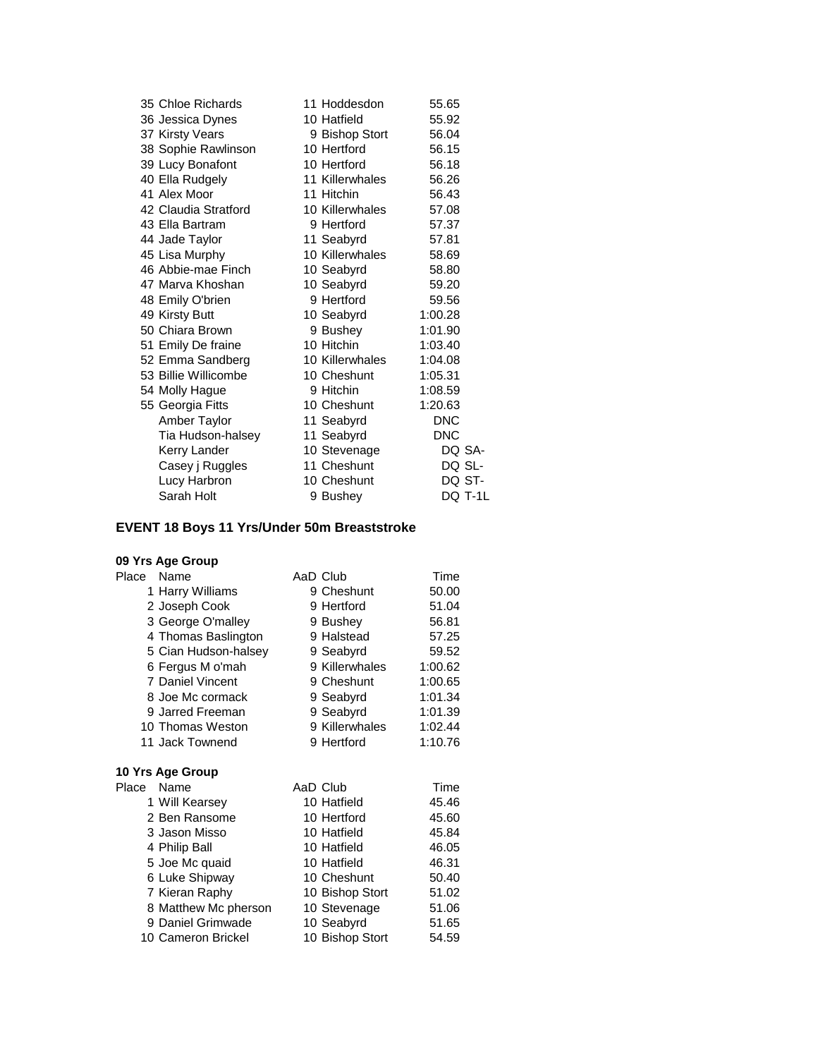| 35 Chloe Richards    | 11 Hoddesdon    | 55.65      |
|----------------------|-----------------|------------|
| 36 Jessica Dynes     | 10 Hatfield     | 55.92      |
| 37 Kirsty Vears      | 9 Bishop Stort  | 56.04      |
| 38 Sophie Rawlinson  | 10 Hertford     | 56.15      |
| 39 Lucy Bonafont     | 10 Hertford     | 56.18      |
| 40 Ella Rudgely      | 11 Killerwhales | 56.26      |
| 41 Alex Moor         | 11 Hitchin      | 56.43      |
| 42 Claudia Stratford | 10 Killerwhales | 57.08      |
| 43 Ella Bartram      | 9 Hertford      | 57.37      |
| 44 Jade Taylor       | 11 Seabyrd      | 57.81      |
| 45 Lisa Murphy       | 10 Killerwhales | 58.69      |
| 46 Abbie-mae Finch   | 10 Seabyrd      | 58.80      |
| 47 Marva Khoshan     | 10 Seabyrd      | 59.20      |
| 48 Emily O'brien     | 9 Hertford      | 59.56      |
| 49 Kirsty Butt       | 10 Seabyrd      | 1:00.28    |
| 50 Chiara Brown      | 9 Bushey        | 1:01.90    |
| 51 Emily De fraine   | 10 Hitchin      | 1:03.40    |
| 52 Emma Sandberg     | 10 Killerwhales | 1:04.08    |
| 53 Billie Willicombe | 10 Cheshunt     | 1:05.31    |
| 54 Molly Hague       | 9 Hitchin       | 1:08.59    |
| 55 Georgia Fitts     | 10 Cheshunt     | 1:20.63    |
| Amber Taylor         | 11 Seabyrd      | DNC        |
| Tia Hudson-halsey    | 11 Seabyrd      | <b>DNC</b> |
| Kerry Lander         | 10 Stevenage    | DQ SA-     |
| Casey j Ruggles      | 11 Cheshunt     | DQ SL-     |
| Lucy Harbron         | 10 Cheshunt     | DQ ST-     |
| Sarah Holt           | 9 Bushev        | DQ T-1L    |

# **EVENT 18 Boys 11 Yrs/Under 50m Breaststroke**

| Place      | Name                 | AaD Club        | Time    |
|------------|----------------------|-----------------|---------|
|            | 1 Harry Williams     | 9 Cheshunt      | 50.00   |
|            | 2 Joseph Cook        | 9 Hertford      | 51.04   |
|            | 3 George O'malley    | 9 Bushey        | 56.81   |
|            | 4 Thomas Baslington  | 9 Halstead      | 57.25   |
|            | 5 Cian Hudson-halsey | 9 Seabyrd       | 59.52   |
|            | 6 Fergus M o'mah     | 9 Killerwhales  | 1:00.62 |
|            | 7 Daniel Vincent     | 9 Cheshunt      | 1:00.65 |
|            | 8 Joe Mc cormack     | 9 Seabyrd       | 1:01.34 |
|            | 9 Jarred Freeman     | 9 Seabyrd       | 1:01.39 |
|            | 10 Thomas Weston     | 9 Killerwhales  | 1:02.44 |
|            | 11 Jack Townend      | 9 Hertford      | 1:10.76 |
|            |                      |                 |         |
|            | 10 Yrs Age Group     |                 |         |
| Place Name |                      | AaD Club        | Time    |
|            | 1 Will Kearsey       | 10 Hatfield     | 45.46   |
|            | 2 Ben Ransome        | 10 Hertford     | 45.60   |
|            | 3 Jason Misso        | 10 Hatfield     | 45.84   |
|            | 4 Philip Ball        | 10 Hatfield     | 46.05   |
|            | 5 Joe Mc quaid       | 10 Hatfield     | 46.31   |
|            | 6 Luke Shipway       | 10 Cheshunt     | 50.40   |
|            | 7 Kieran Raphy       | 10 Bishop Stort | 51.02   |
|            | 8 Matthew Mc pherson | 10 Stevenage    | 51.06   |
|            | 9 Daniel Grimwade    | 10 Seabyrd      | 51.65   |
|            | 10 Cameron Brickel   | 10 Bishop Stort | 54.59   |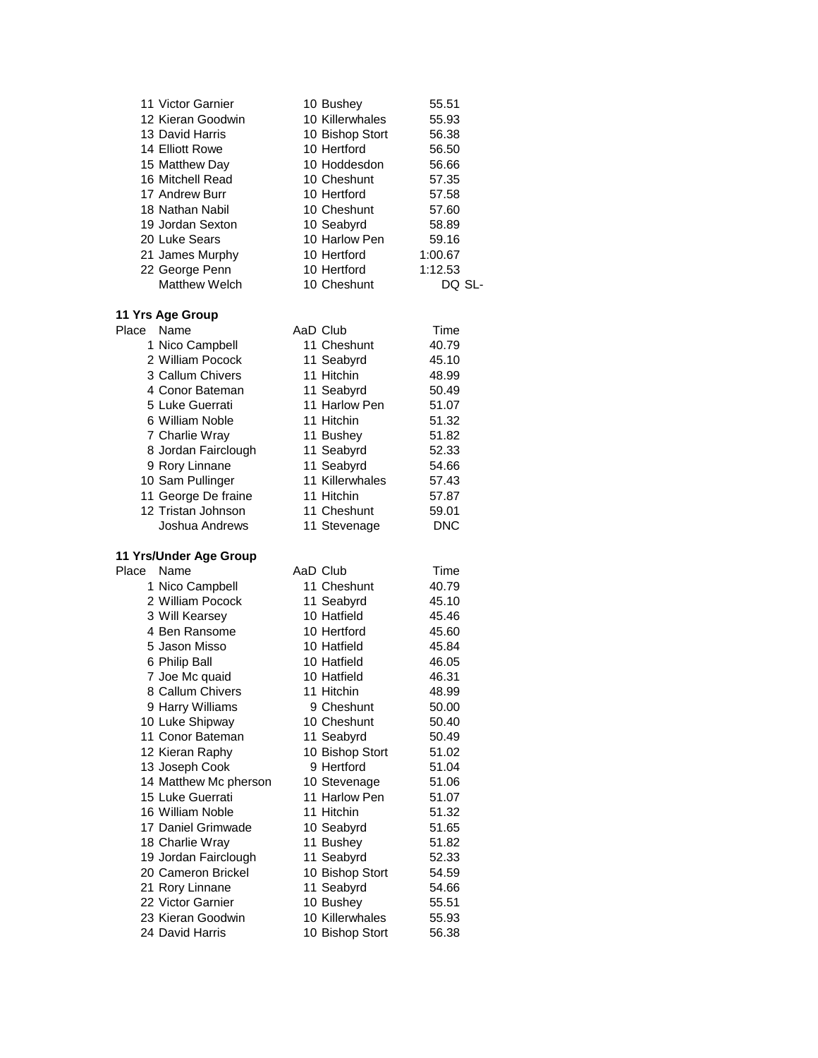| 11 Victor Garnier<br>12 Kieran Goodwin<br>13 David Harris<br>14 Elliott Rowe<br>15 Matthew Day<br>16 Mitchell Read<br>17 Andrew Burr<br>18 Nathan Nabil<br>19 Jordan Sexton<br>20 Luke Sears<br>21 James Murphy<br>22 George Penn<br><b>Matthew Welch</b> | 10 Bushey<br>10 Killerwhales<br>10 Bishop Stort<br>10 Hertford<br>10 Hoddesdon<br>10 Cheshunt<br>10 Hertford<br>10 Cheshunt<br>10 Seabyrd<br>10 Harlow Pen<br>10 Hertford<br>10 Hertford<br>10 Cheshunt | 55.51<br>55.93<br>56.38<br>56.50<br>56.66<br>57.35<br>57.58<br>57.60<br>58.89<br>59.16<br>1:00.67<br>1:12.53<br>DQ SL- |
|-----------------------------------------------------------------------------------------------------------------------------------------------------------------------------------------------------------------------------------------------------------|---------------------------------------------------------------------------------------------------------------------------------------------------------------------------------------------------------|------------------------------------------------------------------------------------------------------------------------|
| 11 Yrs Age Group                                                                                                                                                                                                                                          |                                                                                                                                                                                                         |                                                                                                                        |
| Name<br>Place                                                                                                                                                                                                                                             | AaD Club                                                                                                                                                                                                | Time                                                                                                                   |
| 1 Nico Campbell                                                                                                                                                                                                                                           | 11 Cheshunt                                                                                                                                                                                             | 40.79                                                                                                                  |
| 2 William Pocock                                                                                                                                                                                                                                          | 11 Seabyrd                                                                                                                                                                                              | 45.10                                                                                                                  |
| 3 Callum Chivers                                                                                                                                                                                                                                          | 11 Hitchin                                                                                                                                                                                              | 48.99                                                                                                                  |
| 4 Conor Bateman                                                                                                                                                                                                                                           | 11 Seabyrd                                                                                                                                                                                              | 50.49                                                                                                                  |
| 5 Luke Guerrati                                                                                                                                                                                                                                           | 11 Harlow Pen                                                                                                                                                                                           | 51.07                                                                                                                  |
| 6 William Noble                                                                                                                                                                                                                                           | 11 Hitchin                                                                                                                                                                                              | 51.32                                                                                                                  |
| 7 Charlie Wray                                                                                                                                                                                                                                            | 11 Bushey                                                                                                                                                                                               | 51.82                                                                                                                  |
| 8 Jordan Fairclough                                                                                                                                                                                                                                       | 11 Seabyrd                                                                                                                                                                                              | 52.33                                                                                                                  |
| 9 Rory Linnane                                                                                                                                                                                                                                            | 11 Seabyrd                                                                                                                                                                                              | 54.66                                                                                                                  |
| 10 Sam Pullinger                                                                                                                                                                                                                                          | 11 Killerwhales                                                                                                                                                                                         | 57.43                                                                                                                  |
| 11 George De fraine                                                                                                                                                                                                                                       | 11 Hitchin                                                                                                                                                                                              | 57.87                                                                                                                  |
| 12 Tristan Johnson                                                                                                                                                                                                                                        | 11 Cheshunt                                                                                                                                                                                             | 59.01                                                                                                                  |
| Joshua Andrews                                                                                                                                                                                                                                            | 11 Stevenage                                                                                                                                                                                            | <b>DNC</b>                                                                                                             |
| 11 Yrs/Under Age Group                                                                                                                                                                                                                                    |                                                                                                                                                                                                         |                                                                                                                        |
| Place<br>Name                                                                                                                                                                                                                                             | AaD Club                                                                                                                                                                                                | Time                                                                                                                   |
| 1 Nico Campbell                                                                                                                                                                                                                                           | 11 Cheshunt                                                                                                                                                                                             | 40.79                                                                                                                  |
| 2 William Pocock                                                                                                                                                                                                                                          | 11 Seabyrd                                                                                                                                                                                              | 45.10                                                                                                                  |
| 3 Will Kearsey                                                                                                                                                                                                                                            | 10 Hatfield                                                                                                                                                                                             | 45.46                                                                                                                  |
| 4 Ben Ransome                                                                                                                                                                                                                                             | 10 Hertford                                                                                                                                                                                             | 45.60                                                                                                                  |
| 5 Jason Misso                                                                                                                                                                                                                                             | 10 Hatfield                                                                                                                                                                                             | 45.84                                                                                                                  |
| 6 Philip Ball                                                                                                                                                                                                                                             | 10 Hatfield                                                                                                                                                                                             | 46.05                                                                                                                  |
| 7 Joe Mc quaid                                                                                                                                                                                                                                            | 10 Hatfield                                                                                                                                                                                             | 46.31                                                                                                                  |
| 8 Callum Chivers                                                                                                                                                                                                                                          | 11 Hitchin                                                                                                                                                                                              | 48.99                                                                                                                  |
| 9 Harry Williams                                                                                                                                                                                                                                          | 9 Cheshunt                                                                                                                                                                                              | 50.00                                                                                                                  |
| 10 Luke Shipway                                                                                                                                                                                                                                           | 10 Cheshunt                                                                                                                                                                                             | 50.40                                                                                                                  |
| 11 Conor Bateman                                                                                                                                                                                                                                          | 11 Seabyrd                                                                                                                                                                                              | 50.49                                                                                                                  |
| 12 Kieran Raphy                                                                                                                                                                                                                                           | 10 Bishop Stort                                                                                                                                                                                         | 51.02                                                                                                                  |
| 13 Joseph Cook                                                                                                                                                                                                                                            | 9 Hertford                                                                                                                                                                                              | 51.04                                                                                                                  |
| 14 Matthew Mc pherson                                                                                                                                                                                                                                     | 10 Stevenage                                                                                                                                                                                            | 51.06                                                                                                                  |
| 15 Luke Guerrati                                                                                                                                                                                                                                          | 11 Harlow Pen                                                                                                                                                                                           | 51.07                                                                                                                  |
| 16 William Noble                                                                                                                                                                                                                                          | 11 Hitchin                                                                                                                                                                                              | 51.32                                                                                                                  |
| 17 Daniel Grimwade                                                                                                                                                                                                                                        | 10 Seabyrd                                                                                                                                                                                              | 51.65                                                                                                                  |
| 18 Charlie Wray                                                                                                                                                                                                                                           | 11 Bushey                                                                                                                                                                                               | 51.82                                                                                                                  |
| 19 Jordan Fairclough                                                                                                                                                                                                                                      | 11 Seabyrd                                                                                                                                                                                              | 52.33                                                                                                                  |
| 20 Cameron Brickel                                                                                                                                                                                                                                        | 10 Bishop Stort                                                                                                                                                                                         | 54.59                                                                                                                  |
| 21 Rory Linnane                                                                                                                                                                                                                                           | 11 Seabyrd                                                                                                                                                                                              | 54.66                                                                                                                  |
| 22 Victor Garnier                                                                                                                                                                                                                                         | 10 Bushey                                                                                                                                                                                               | 55.51                                                                                                                  |
| 23 Kieran Goodwin                                                                                                                                                                                                                                         | 10 Killerwhales                                                                                                                                                                                         | 55.93                                                                                                                  |
| 24 David Harris                                                                                                                                                                                                                                           | 10 Bishop Stort                                                                                                                                                                                         | 56.38                                                                                                                  |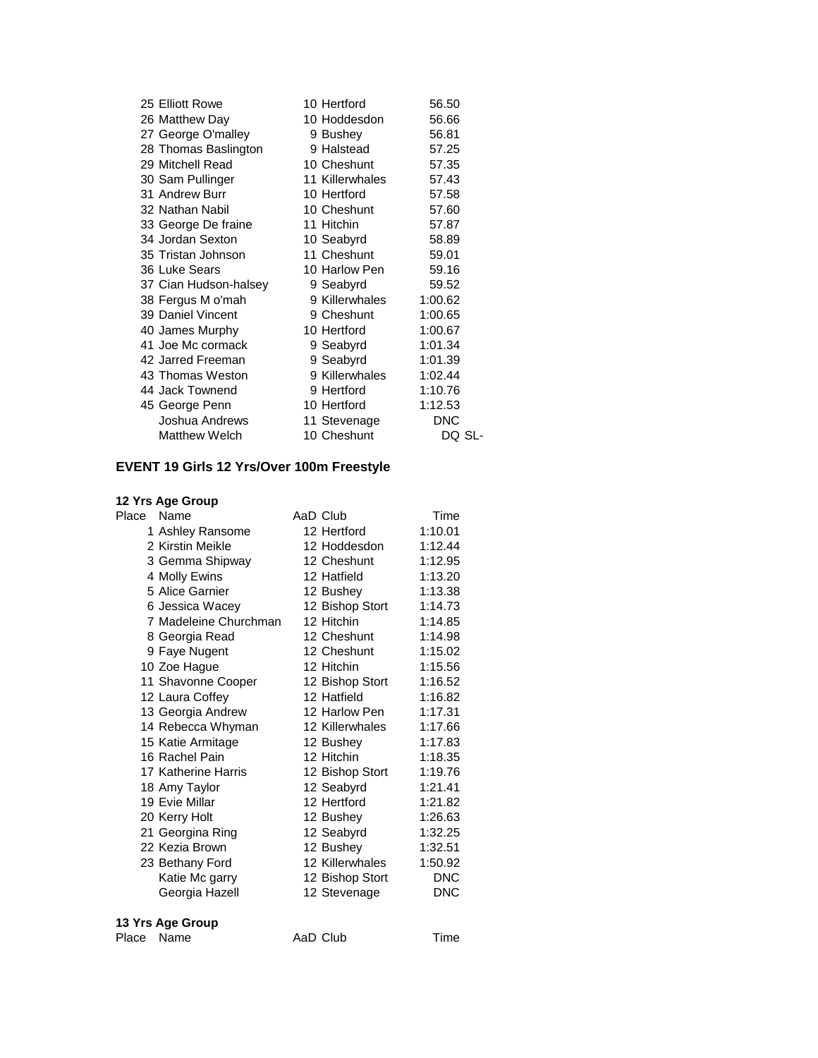| 25 Elliott Rowe       | 10 Hertford     | 56.50   |
|-----------------------|-----------------|---------|
| 26 Matthew Day        | 10 Hoddesdon    | 56.66   |
| 27 George O'malley    | 9 Bushey        | 56.81   |
| 28 Thomas Baslington  | 9 Halstead      | 57.25   |
| 29 Mitchell Read      | 10 Cheshunt     | 57.35   |
| 30 Sam Pullinger      | 11 Killerwhales | 57.43   |
| 31 Andrew Burr        | 10 Hertford     | 57.58   |
| 32 Nathan Nabil       | 10 Cheshunt     | 57.60   |
| 33 George De fraine   | 11 Hitchin      | 57.87   |
| 34 Jordan Sexton      | 10 Seabyrd      | 58.89   |
| 35 Tristan Johnson    | 11 Cheshunt     | 59.01   |
| 36 Luke Sears         | 10 Harlow Pen   | 59.16   |
| 37 Cian Hudson-halsey | 9 Seabyrd       | 59.52   |
| 38 Fergus M o'mah     | 9 Killerwhales  | 1:00.62 |
| 39 Daniel Vincent     | 9 Cheshunt      | 1:00.65 |
| 40 James Murphy       | 10 Hertford     | 1:00.67 |
| 41 Joe Mc cormack     | 9 Seabyrd       | 1:01.34 |
| 42 Jarred Freeman     | 9 Seabyrd       | 1:01.39 |
| 43 Thomas Weston      | 9 Killerwhales  | 1:02.44 |
| 44 Jack Townend       | 9 Hertford      | 1:10.76 |
| 45 George Penn        | 10 Hertford     | 1:12.53 |
| Joshua Andrews        | 11 Stevenage    | DNC     |
| <b>Matthew Welch</b>  | 10 Cheshunt     | DQ SL-  |

# **EVENT 19 Girls 12 Yrs/Over 100m Freestyle**

|       | 12 Yrs Age Group      |                 |            |
|-------|-----------------------|-----------------|------------|
| Place | Name                  | AaD Club        | Time       |
|       | 1 Ashley Ransome      | 12 Hertford     | 1:10.01    |
|       | 2 Kirstin Meikle      | 12 Hoddesdon    | 1:12.44    |
|       | 3 Gemma Shipway       | 12 Cheshunt     | 1:12.95    |
|       | 4 Molly Ewins         | 12 Hatfield     | 1:13.20    |
|       | 5 Alice Garnier       | 12 Bushey       | 1:13.38    |
|       | 6 Jessica Wacey       | 12 Bishop Stort | 1:14.73    |
|       | 7 Madeleine Churchman | 12 Hitchin      | 1:14.85    |
|       | 8 Georgia Read        | 12 Cheshunt     | 1:14.98    |
|       | 9 Faye Nugent         | 12 Cheshunt     | 1:15.02    |
|       | 10 Zoe Hague          | 12 Hitchin      | 1:15.56    |
|       | 11 Shavonne Cooper    | 12 Bishop Stort | 1:16.52    |
|       | 12 Laura Coffey       | 12 Hatfield     | 1:16.82    |
|       | 13 Georgia Andrew     | 12 Harlow Pen   | 1:17.31    |
|       | 14 Rebecca Whyman     | 12 Killerwhales | 1:17.66    |
|       | 15 Katie Armitage     | 12 Bushey       | 1:17.83    |
|       | 16 Rachel Pain        | 12 Hitchin      | 1:18.35    |
|       | 17 Katherine Harris   | 12 Bishop Stort | 1:19.76    |
|       | 18 Amy Taylor         | 12 Seabyrd      | 1:21.41    |
|       | 19 Evie Millar        | 12 Hertford     | 1:21.82    |
|       | 20 Kerry Holt         | 12 Bushey       | 1:26.63    |
|       | 21 Georgina Ring      | 12 Seabyrd      | 1:32.25    |
|       | 22 Kezia Brown        | 12 Bushey       | 1:32.51    |
|       | 23 Bethany Ford       | 12 Killerwhales | 1:50.92    |
|       | Katie Mc garry        | 12 Bishop Stort | <b>DNC</b> |
|       | Georgia Hazell        | 12 Stevenage    | DNC        |
|       |                       |                 |            |

#### **13 Yrs Age Group**

Place Name **AaD Club** Time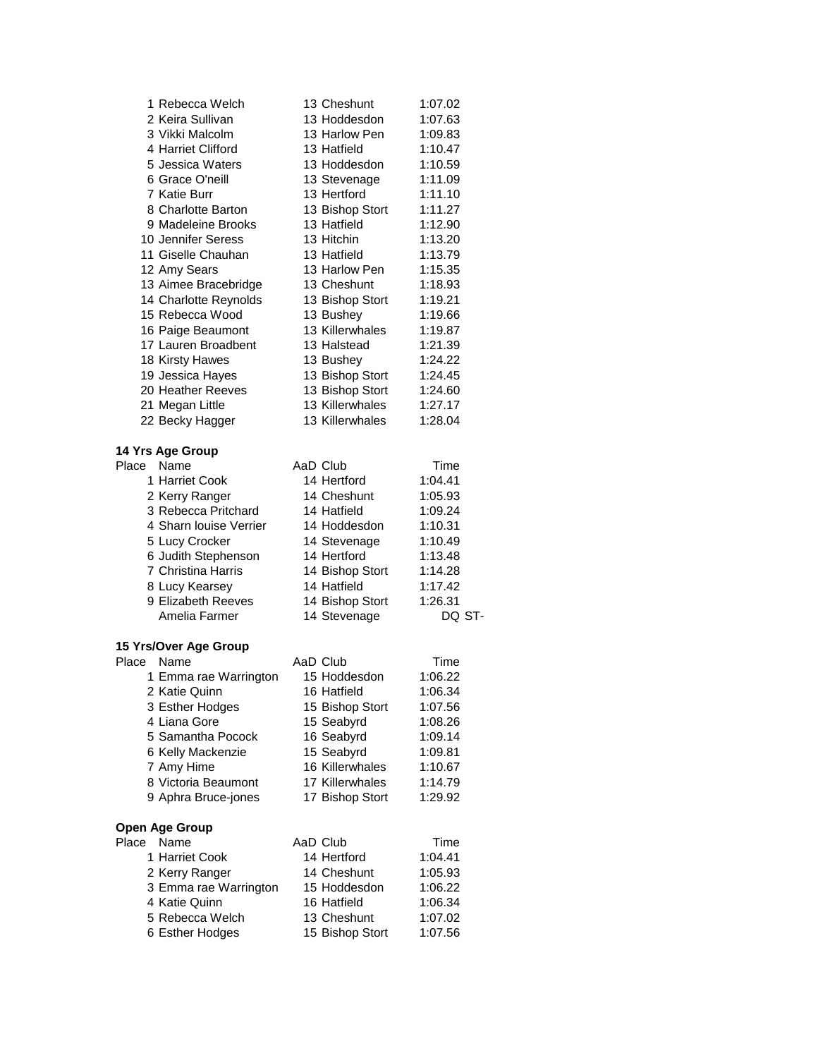| 1 Rebecca Welch       | 13 Cheshunt     | 1:07.02 |
|-----------------------|-----------------|---------|
| 2 Keira Sullivan      | 13 Hoddesdon    | 1:07.63 |
| 3 Vikki Malcolm       | 13 Harlow Pen   | 1:09.83 |
| 4 Harriet Clifford    | 13 Hatfield     | 1:10.47 |
| 5 Jessica Waters      | 13 Hoddesdon    | 1:10.59 |
| 6 Grace O'neill       | 13 Stevenage    | 1:11.09 |
| 7 Katie Burr          | 13 Hertford     | 1:11.10 |
| 8 Charlotte Barton    | 13 Bishop Stort | 1:11.27 |
| 9 Madeleine Brooks    | 13 Hatfield     | 1:12.90 |
| 10 Jennifer Seress    | 13 Hitchin      | 1:13.20 |
| 11 Giselle Chauhan    | 13 Hatfield     | 1:13.79 |
| 12 Amy Sears          | 13 Harlow Pen   | 1:15.35 |
| 13 Aimee Bracebridge  | 13 Cheshunt     | 1:18.93 |
| 14 Charlotte Reynolds | 13 Bishop Stort | 1:19.21 |
| 15 Rebecca Wood       | 13 Bushey       | 1:19.66 |
| 16 Paige Beaumont     | 13 Killerwhales | 1:19.87 |
| 17 Lauren Broadbent   | 13 Halstead     | 1:21.39 |
| 18 Kirsty Hawes       | 13 Bushey       | 1:24.22 |
| 19 Jessica Hayes      | 13 Bishop Stort | 1:24.45 |
| 20 Heather Reeves     | 13 Bishop Stort | 1:24.60 |
| 21 Megan Little       | 13 Killerwhales | 1:27.17 |
| 22 Becky Hagger       | 13 Killerwhales | 1:28.04 |
|                       |                 |         |

#### **14 Yrs Age Group**

| Place | Name                   | AaD Club        | Time    |
|-------|------------------------|-----------------|---------|
|       | 1 Harriet Cook         | 14 Hertford     | 1:04.41 |
|       | 2 Kerry Ranger         | 14 Cheshunt     | 1:05.93 |
|       | 3 Rebecca Pritchard    | 14 Hatfield     | 1:09.24 |
|       | 4 Sharn louise Verrier | 14 Hoddesdon    | 1:10.31 |
|       | 5 Lucy Crocker         | 14 Stevenage    | 1:10.49 |
|       | 6 Judith Stephenson    | 14 Hertford     | 1:13.48 |
|       | 7 Christina Harris     | 14 Bishop Stort | 1:14.28 |
|       | 8 Lucy Kearsey         | 14 Hatfield     | 1:17.42 |
|       | 9 Elizabeth Reeves     | 14 Bishop Stort | 1:26.31 |
|       | Amelia Farmer          | 14 Stevenage    |         |

## **15 Yrs/Over Age Group**

| Place      | Name                  | AaD Club        | Time            |
|------------|-----------------------|-----------------|-----------------|
|            | 1 Emma rae Warrington | 15 Hoddesdon    | 1:06.22         |
|            | 2 Katie Quinn         | 16 Hatfield     | 1:06.34         |
|            | 3 Esther Hodges       | 15 Bishop Stort | 1:07.56         |
|            | 4 Liana Gore          | 15 Seabyrd      | 1:08.26         |
|            | 5 Samantha Pocock     | 16 Seabyrd      | 1:09.14         |
|            | 6 Kelly Mackenzie     | 15 Seabyrd      | 1:09.81         |
|            | 7 Amy Hime            | 16 Killerwhales | 1:10.67         |
|            | 8 Victoria Beaumont   | 17 Killerwhales | 1:14.79         |
|            | 9 Aphra Bruce-jones   | 17 Bishop Stort | 1:29.92         |
|            | Open Age Group        |                 |                 |
| Place Name |                       | AaD Club        | Time            |
|            | 1 Harriet Cook        | 14 Hertford     | 1.04 $\Delta$ 1 |

| uuu | .                     |                 | .       |
|-----|-----------------------|-----------------|---------|
|     | 1 Harriet Cook        | 14 Hertford     | 1:04.41 |
|     | 2 Kerry Ranger        | 14 Cheshunt     | 1:05.93 |
|     | 3 Emma rae Warrington | 15 Hoddesdon    | 1:06.22 |
|     | 4 Katie Quinn         | 16 Hatfield     | 1:06.34 |
|     | 5 Rebecca Welch       | 13 Cheshunt     | 1:07.02 |
|     | 6 Esther Hodges       | 15 Bishop Stort | 1:07.56 |
|     |                       |                 |         |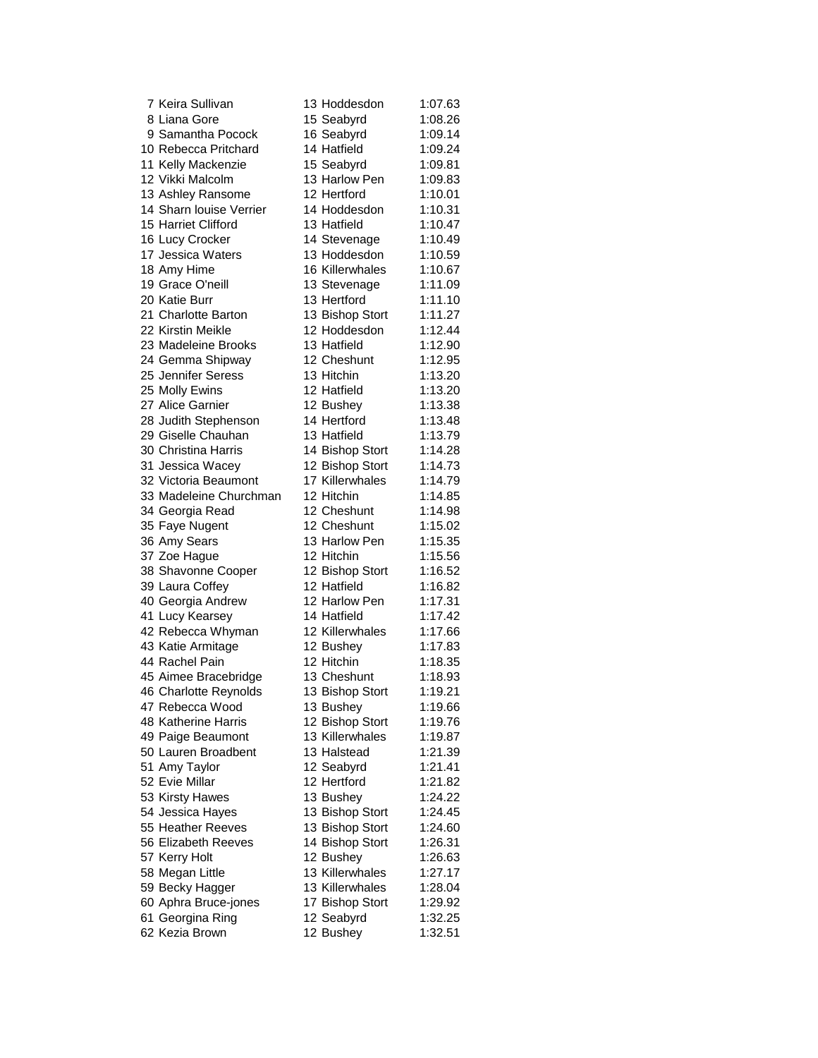| 7 Keira Sullivan        | 13 Hoddesdon                | 1:07.63 |
|-------------------------|-----------------------------|---------|
| 8 Liana Gore            | 15 Seabyrd                  | 1:08.26 |
| 9 Samantha Pocock       | 16 Seabyrd                  | 1:09.14 |
| 10 Rebecca Pritchard    | 14 Hatfield                 | 1:09.24 |
| 11 Kelly Mackenzie      | 15 Seabyrd                  | 1:09.81 |
| 12 Vikki Malcolm        | 13 Harlow Pen               | 1:09.83 |
| 13 Ashley Ransome       | 12 Hertford                 | 1:10.01 |
| 14 Sharn louise Verrier | 14 Hoddesdon                | 1:10.31 |
| 15 Harriet Clifford     | 13 Hatfield                 | 1:10.47 |
| 16 Lucy Crocker         | 14 Stevenage                | 1:10.49 |
| 17 Jessica Waters       | 13 Hoddesdon                | 1:10.59 |
| 18 Amy Hime             | 16 Killerwhales             | 1:10.67 |
| 19 Grace O'neill        |                             |         |
| 20 Katie Burr           | 13 Stevenage<br>13 Hertford | 1:11.09 |
|                         |                             | 1:11.10 |
| 21 Charlotte Barton     | 13 Bishop Stort             | 1:11.27 |
| 22 Kirstin Meikle       | 12 Hoddesdon                | 1:12.44 |
| 23 Madeleine Brooks     | 13 Hatfield                 | 1:12.90 |
| 24 Gemma Shipway        | 12 Cheshunt                 | 1:12.95 |
| 25 Jennifer Seress      | 13 Hitchin                  | 1:13.20 |
| 25 Molly Ewins          | 12 Hatfield                 | 1:13.20 |
| 27 Alice Garnier        | 12 Bushey                   | 1:13.38 |
| 28 Judith Stephenson    | 14 Hertford                 | 1:13.48 |
| 29 Giselle Chauhan      | 13 Hatfield                 | 1:13.79 |
| 30 Christina Harris     | 14 Bishop Stort             | 1:14.28 |
| 31 Jessica Wacey        | 12 Bishop Stort             | 1:14.73 |
| 32 Victoria Beaumont    | 17 Killerwhales             | 1:14.79 |
| 33 Madeleine Churchman  | 12 Hitchin                  | 1:14.85 |
| 34 Georgia Read         | 12 Cheshunt                 | 1:14.98 |
| 35 Faye Nugent          | 12 Cheshunt                 | 1:15.02 |
| 36 Amy Sears            | 13 Harlow Pen               | 1:15.35 |
| 37 Zoe Hague            | 12 Hitchin                  | 1:15.56 |
| 38 Shavonne Cooper      | 12 Bishop Stort             | 1:16.52 |
| 39 Laura Coffey         | 12 Hatfield                 | 1:16.82 |
| 40 Georgia Andrew       | 12 Harlow Pen               | 1:17.31 |
| 41 Lucy Kearsey         | 14 Hatfield                 | 1:17.42 |
| 42 Rebecca Whyman       | 12 Killerwhales             | 1:17.66 |
| 43 Katie Armitage       | 12 Bushey                   | 1:17.83 |
| 44 Rachel Pain          | 12 Hitchin                  | 1:18.35 |
| 45 Aimee Bracebridge    | 13 Cheshunt                 | 1:18.93 |
| 46 Charlotte Reynolds   | 13 Bishop Stort             | 1:19.21 |
| 47 Rebecca Wood         | 13 Bushey                   | 1:19.66 |
| 48 Katherine Harris     | 12 Bishop Stort             | 1:19.76 |
| 49 Paige Beaumont       | 13 Killerwhales             | 1:19.87 |
| 50 Lauren Broadbent     | 13 Halstead                 | 1:21.39 |
| 51 Amy Taylor           | 12 Seabyrd                  | 1:21.41 |
| 52 Evie Millar          | 12 Hertford                 | 1:21.82 |
| 53 Kirsty Hawes         | 13 Bushey                   | 1:24.22 |
| 54 Jessica Hayes        | 13 Bishop Stort             | 1:24.45 |
| 55 Heather Reeves       | 13 Bishop Stort             | 1:24.60 |
| 56 Elizabeth Reeves     |                             |         |
|                         | 14 Bishop Stort             | 1:26.31 |
| 57 Kerry Holt           | 12 Bushey                   | 1:26.63 |
| 58 Megan Little         | 13 Killerwhales             | 1:27.17 |
| 59 Becky Hagger         | 13 Killerwhales             | 1:28.04 |
| 60 Aphra Bruce-jones    | 17 Bishop Stort             | 1:29.92 |
| 61 Georgina Ring        | 12 Seabyrd                  | 1:32.25 |
| 62 Kezia Brown          | 12 Bushey                   | 1:32.51 |

| 3 Hoddesdon                      | 1:07.6 |
|----------------------------------|--------|
|                                  |        |
| 5 Seabyrd                        | 1:08.2 |
| 6 Seabyrd                        | 1:09.1 |
| 4 Hatfield                       | 1:09.2 |
| 5 Seabyrd                        | 1:09.8 |
|                                  |        |
| 3 Harlow Pen                     | 1:09.8 |
| 2 Hertford                       | 1:10.0 |
| 4 Hoddesdon                      | 1:10.3 |
| 3 Hatfield                       | 1:10.4 |
| 4 Stevenage                      | 1:10.4 |
|                                  |        |
| 3 Hoddesdon                      | 1:10.5 |
| 6 Killerwhales                   | 1:10.6 |
| 3 Stevenage                      | 1:11.0 |
| 3 Hertford                       | 1:11.1 |
| 3 Bishop Stort                   | 1:11.2 |
| 2 Hoddesdon                      |        |
|                                  | 1:12.4 |
| 3 Hatfield                       | 1:12.9 |
| 2 Cheshunt                       | 1:12.9 |
| 3 Hitchin                        | 1:13.2 |
| 2 Hatfield                       | 1:13.2 |
| 2 Bushey                         | 1:13.3 |
|                                  |        |
| 4 Hertford                       | 1:13.4 |
| 3 Hatfield                       | 1:13.7 |
| 4 Bishop Stort                   | 1:14.2 |
|                                  | 1:14.7 |
| 2 Bishop Stort<br>7 Killerwhales | 1:14.7 |
| 2 Hitchin                        | 1:14.8 |
|                                  |        |
| 2 Cheshunt                       | 1:14.9 |
| 2 Cheshunt                       | 1:15.0 |
| 3 Harlow Pen<br>2 Hitchin        | 1:15.3 |
|                                  | 1:15.5 |
| 2 Bishop Stort                   | 1:16.5 |
| 2 Hatfield                       | 1:16.8 |
|                                  |        |
| 2 Harlow Pen                     | 1:17.3 |
| 4 Hatfield                       | 1:17.4 |
| 2 Killerwhales                   | 1:17.6 |
| 2 Bushey                         | 1:17.8 |
| 2 Hitchin                        | 1:18.3 |
| 3 Cheshunt                       | 1:18.9 |
|                                  |        |
| 3 Bishop Stort                   | 1:19.2 |
| 3 Bushey                         | 1:19.6 |
| 2 Bishop Stort                   | 1:19.7 |
| 3 Killerwhales                   | 1:19.8 |
| 3 Halstead                       | 1:21.3 |
| 2 Seabyrd                        | 1:21.4 |
|                                  |        |
| 2 Hertford                       | 1:21.8 |
| 3 Bushey                         | 1:24.2 |
| 3 Bishop Stort                   | 1:24.4 |
| 3 Bishop Stort                   | 1:24.6 |
| 4 Bishop Stort                   | 1:26.3 |
| 2 Bushey                         | 1:26.6 |
| 3 Killerwhales                   |        |
|                                  | 1:27.1 |
| 3 Killerwhales                   | 1:28.0 |
| 7 Bishop Stort                   | 1:29.9 |
| 2 Seabyrd<br>2 Bushey            | 1:32.2 |
|                                  | 1:32.5 |
|                                  |        |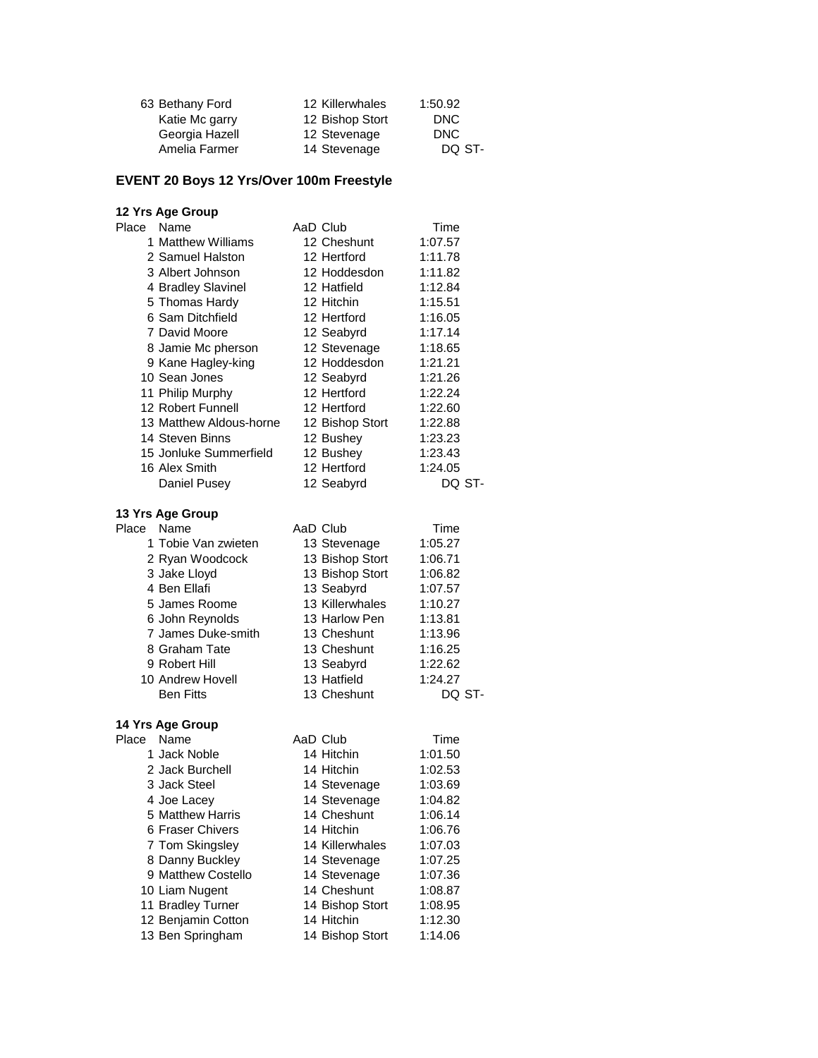| 63 Bethany Ford | 12 Killerwhales | 1:50.92 |
|-----------------|-----------------|---------|
| Katie Mc garry  | 12 Bishop Stort | DNC     |
| Georgia Hazell  | 12 Stevenage    | DNC     |
| Amelia Farmer   | 14 Stevenage    | DO ST-  |

# **EVENT 20 Boys 12 Yrs/Over 100m Freestyle**

#### **12 Yrs Age Group**

| Place | Name                    | AaD Club        | Time    |  |
|-------|-------------------------|-----------------|---------|--|
|       | 1 Matthew Williams      | 12 Cheshunt     | 1:07.57 |  |
|       | 2 Samuel Halston        | 12 Hertford     | 1:11.78 |  |
|       | 3 Albert Johnson        | 12 Hoddesdon    | 1:11.82 |  |
|       | 4 Bradley Slavinel      | 12 Hatfield     | 1:12.84 |  |
|       | 5 Thomas Hardy          | 12 Hitchin      | 1:15.51 |  |
|       | 6 Sam Ditchfield        | 12 Hertford     | 1:16.05 |  |
|       | 7 David Moore           | 12 Seabyrd      | 1:17.14 |  |
|       | 8 Jamie Mc pherson      | 12 Stevenage    | 1:18.65 |  |
|       | 9 Kane Hagley-king      | 12 Hoddesdon    | 1:21.21 |  |
|       | 10 Sean Jones           | 12 Seabyrd      | 1:21.26 |  |
|       | 11 Philip Murphy        | 12 Hertford     | 1:22.24 |  |
|       | 12 Robert Funnell       | 12 Hertford     | 1:22.60 |  |
|       | 13 Matthew Aldous-horne | 12 Bishop Stort | 1:22.88 |  |
|       | 14 Steven Binns         | 12 Bushey       | 1:23.23 |  |
|       | 15 Jonluke Summerfield  | 12 Bushey       | 1:23.43 |  |
|       | 16 Alex Smith           | 12 Hertford     | 1:24.05 |  |
|       | Daniel Pusey            | 12 Seabyrd      | DQ ST-  |  |
|       | 13 Yrs Age Group        |                 |         |  |
| Place | Name                    | AaD Club        | Time    |  |
|       | 1 Tobie Van zwieten     | 13 Stevenage    | 1:05.27 |  |
|       | 2 Ryan Woodcock         | 13 Bishop Stort | 1:06.71 |  |
|       | 3 Jake Lloyd            | 13 Bishop Stort | 1:06.82 |  |
|       | 4 Ben Ellafi            | 13 Seabyrd      | 1:07.57 |  |
|       | 5 James Roome           | 13 Killerwhales | 1:10.27 |  |
|       | 6 John Reynolds         | 13 Harlow Pen   | 1:13.81 |  |
|       | 7 James Duke-smith      | 13 Cheshunt     | 1:13.96 |  |
|       | 8 Graham Tate           | 13 Cheshunt     | 1:16.25 |  |
|       | 9 Robert Hill           | 13 Seabyrd      | 1:22.62 |  |
|       | 10 Andrew Hovell        | 13 Hatfield     | 1:24.27 |  |
|       | <b>Ben Fitts</b>        | 13 Cheshunt     | DQ ST-  |  |

| Place | Name               | AaD Club        | Time    |
|-------|--------------------|-----------------|---------|
|       | 1 Jack Noble       | 14 Hitchin      | 1:01.50 |
|       | 2 Jack Burchell    | 14 Hitchin      | 1:02.53 |
|       | 3 Jack Steel       | 14 Stevenage    | 1:03.69 |
|       | 4 Joe Lacey        | 14 Stevenage    | 1:04.82 |
|       | 5 Matthew Harris   | 14 Cheshunt     | 1:06.14 |
|       | 6 Fraser Chivers   | 14 Hitchin      | 1:06.76 |
|       | 7 Tom Skingsley    | 14 Killerwhales | 1:07.03 |
|       | 8 Danny Buckley    | 14 Stevenage    | 1:07.25 |
|       | 9 Matthew Costello | 14 Stevenage    | 1:07.36 |
|       | 10 Liam Nugent     | 14 Cheshunt     | 1:08.87 |
|       | 11 Bradley Turner  | 14 Bishop Stort | 1:08.95 |
|       | 12 Benjamin Cotton | 14 Hitchin      | 1:12.30 |
|       | 13 Ben Springham   | 14 Bishop Stort | 1:14.06 |
|       |                    |                 |         |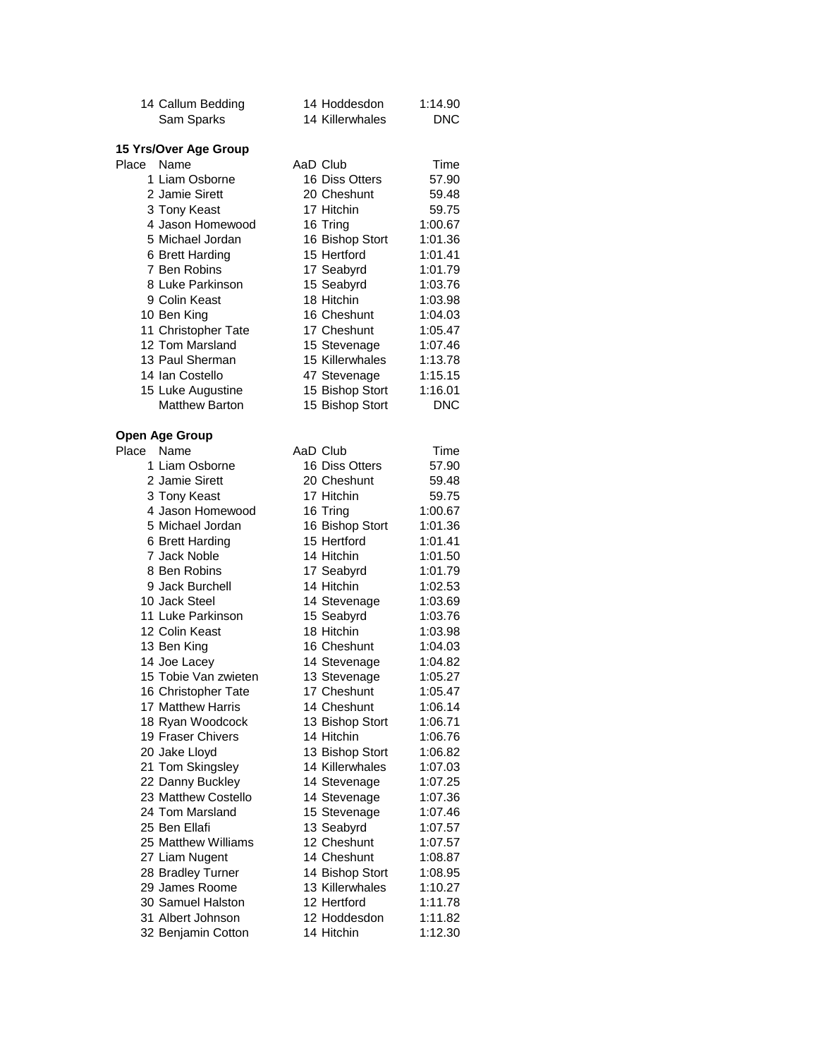|       | 14 Callum Bedding             | 14 Hoddesdon<br>14 Killerwhales | 1:14.90<br><b>DNC</b> |
|-------|-------------------------------|---------------------------------|-----------------------|
|       | Sam Sparks                    |                                 |                       |
|       | 15 Yrs/Over Age Group         |                                 |                       |
| Place | Name                          | AaD Club                        | Time                  |
|       | 1 Liam Osborne                | 16 Diss Otters                  | 57.90                 |
|       | 2 Jamie Sirett                | 20 Cheshunt                     | 59.48                 |
|       | 3 Tony Keast                  | 17 Hitchin                      | 59.75                 |
|       | 4 Jason Homewood              | 16 Tring                        | 1:00.67               |
|       | 5 Michael Jordan              | 16 Bishop Stort                 | 1:01.36               |
|       | 6 Brett Harding               | 15 Hertford                     | 1:01.41               |
|       | 7 Ben Robins                  | 17 Seabyrd                      | 1:01.79               |
|       | 8 Luke Parkinson              | 15 Seabyrd                      | 1:03.76               |
|       | 9 Colin Keast                 | 18 Hitchin                      | 1:03.98               |
|       | 10 Ben King                   | 16 Cheshunt                     | 1:04.03               |
|       | 11 Christopher Tate           | 17 Cheshunt                     | 1:05.47               |
|       | 12 Tom Marsland               | 15 Stevenage                    | 1:07.46               |
|       | 13 Paul Sherman               | 15 Killerwhales                 | 1:13.78               |
|       | 14 Ian Costello               | 47 Stevenage                    | 1:15.15               |
|       | 15 Luke Augustine             | 15 Bishop Stort                 | 1:16.01               |
|       | <b>Matthew Barton</b>         | 15 Bishop Stort                 | <b>DNC</b>            |
|       |                               |                                 |                       |
| Place | <b>Open Age Group</b><br>Name | AaD Club                        | Time                  |
|       | 1 Liam Osborne                | 16 Diss Otters                  | 57.90                 |
|       | 2 Jamie Sirett                | 20 Cheshunt                     | 59.48                 |
|       | 3 Tony Keast                  | 17 Hitchin                      | 59.75                 |
|       | 4 Jason Homewood              | 16 Tring                        | 1:00.67               |
|       | 5 Michael Jordan              | 16 Bishop Stort                 | 1:01.36               |
|       | 6 Brett Harding               | 15 Hertford                     | 1:01.41               |
|       | 7 Jack Noble                  | 14 Hitchin                      | 1:01.50               |
|       | 8 Ben Robins                  | 17 Seabyrd                      | 1:01.79               |
|       | 9 Jack Burchell               | 14 Hitchin                      | 1:02.53               |
|       | 10 Jack Steel                 | 14 Stevenage                    | 1:03.69               |
|       | 11 Luke Parkinson             | 15 Seabyrd                      | 1:03.76               |
|       | 12 Colin Keast                | 18 Hitchin                      | 1:03.98               |
|       | 13 Ben King                   | 16 Cheshunt                     | 1:04.03               |
|       | 14 Joe Lacey                  | 14 Stevenage                    | 1:04.82               |
|       | 15 Tobie Van zwieten          | 13 Stevenage                    | 1:05.27               |
|       | 16 Christopher Tate           | 17 Cheshunt                     | 1:05.47               |
|       | 17 Matthew Harris             | 14 Cheshunt                     | 1:06.14               |
|       | 18 Ryan Woodcock              | 13 Bishop Stort                 | 1:06.71               |
|       | 19 Fraser Chivers             | 14 Hitchin                      | 1:06.76               |
|       | 20 Jake Lloyd                 | 13 Bishop Stort                 | 1:06.82               |
|       | 21 Tom Skingsley              | 14 Killerwhales                 | 1:07.03               |
|       | 22 Danny Buckley              | 14 Stevenage                    | 1:07.25               |
|       | 23 Matthew Costello           | 14 Stevenage                    | 1:07.36               |
|       | 24 Tom Marsland               | 15 Stevenage                    | 1:07.46               |
|       | 25 Ben Ellafi                 | 13 Seabyrd                      | 1:07.57               |
|       | 25 Matthew Williams           | 12 Cheshunt                     | 1:07.57               |
|       | 27 Liam Nugent                | 14 Cheshunt                     | 1:08.87               |
|       | 28 Bradley Turner             | 14 Bishop Stort                 | 1:08.95               |
|       | 29 James Roome                | 13 Killerwhales                 | 1:10.27               |
|       | 30 Samuel Halston             | 12 Hertford                     | 1:11.78               |
|       | 31 Albert Johnson             | 12 Hoddesdon                    | 1:11.82               |
|       | 32 Benjamin Cotton            | 14 Hitchin                      | 1:12.30               |